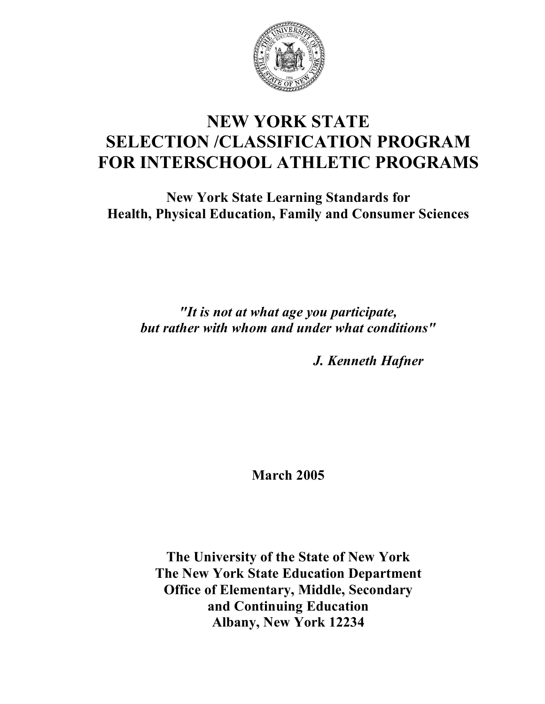

# **NEW YORK STATE SELECTION /CLASSIFICATION PROGRAM FOR INTERSCHOOL ATHLETIC PROGRAMS**

**New York State Learning Standards for Health, Physical Education, Family and Consumer Sciences**

*"It is not at what age you participate, but rather with whom and under what conditions"*

*J. Kenneth Hafner*

**March 2005**

**The University of the State of New York The New York State Education Department Office of Elementary, Middle, Secondary and Continuing Education Albany, New York 12234**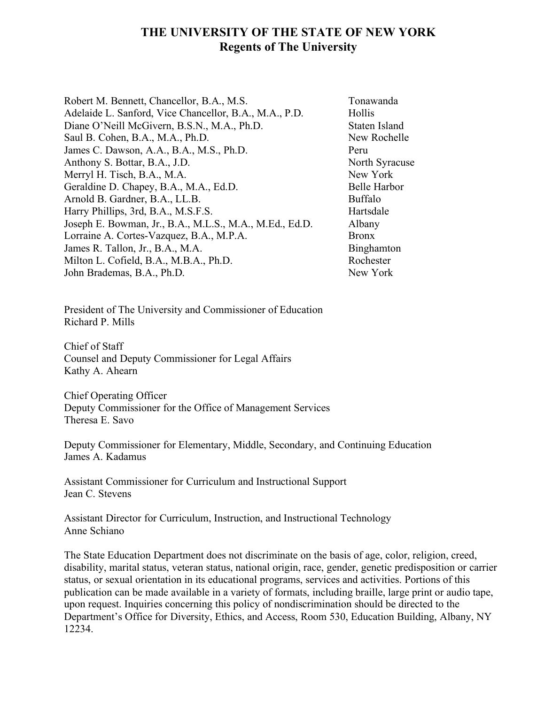# **THE UNIVERSITY OF THE STATE OF NEW YORK Regents of The University**

Robert M. Bennett, Chancellor, B.A., M.S. Tonawanda Adelaide L. Sanford, Vice Chancellor, B.A., M.A., P.D. Hollis Diane O'Neill McGivern, B.S.N., M.A., Ph.D. Staten Island Saul B. Cohen, B.A., M.A., Ph.D. New Rochelle James C. Dawson, A.A., B.A., M.S., Ph.D. Peru Anthony S. Bottar, B.A., J.D. North Syracuse Merryl H. Tisch, B.A., M.A. New York Geraldine D. Chapey, B.A., M.A., Ed.D. Belle Harbor Arnold B. Gardner, B.A., LL.B. Buffalo Harry Phillips, 3rd, B.A., M.S.F.S. Hartsdale Joseph E. Bowman, Jr., B.A., M.L.S., M.A., M.Ed., Ed.D. Albany Lorraine A. Cortes-Vazquez, B.A., M.P.A. Bronx James R. Tallon, Jr., B.A., M.A. Binghamton Milton L. Cofield, B.A., M.B.A., Ph.D. Rochester John Brademas, B.A., Ph.D. New York

President of The University and Commissioner of Education Richard P. Mills

Chief of Staff Counsel and Deputy Commissioner for Legal Affairs Kathy A. Ahearn

Chief Operating Officer Deputy Commissioner for the Office of Management Services Theresa E. Savo

Deputy Commissioner for Elementary, Middle, Secondary, and Continuing Education James A. Kadamus

Assistant Commissioner for Curriculum and Instructional Support Jean C. Stevens

Assistant Director for Curriculum, Instruction, and Instructional Technology Anne Schiano

The State Education Department does not discriminate on the basis of age, color, religion, creed, disability, marital status, veteran status, national origin, race, gender, genetic predisposition or carrier status, or sexual orientation in its educational programs, services and activities. Portions of this publication can be made available in a variety of formats, including braille, large print or audio tape, upon request. Inquiries concerning this policy of nondiscrimination should be directed to the Department's Office for Diversity, Ethics, and Access, Room 530, Education Building, Albany, NY 12234.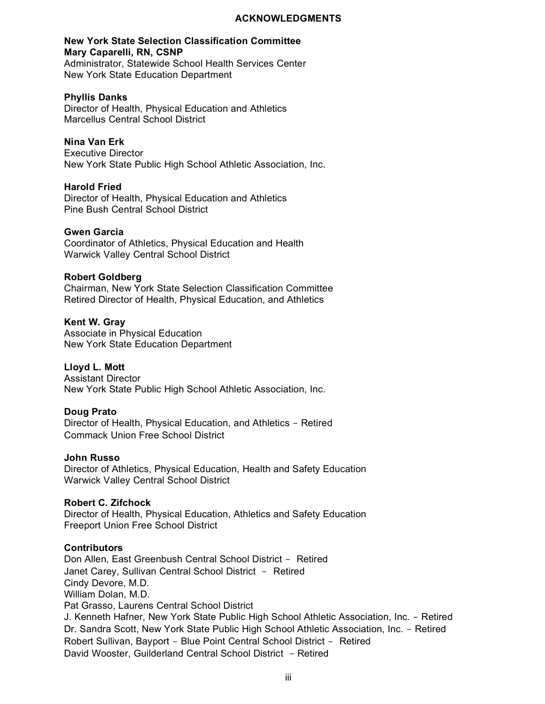#### **ACKNOWLEDGMENTS**

#### **New York State Selection Classification Committee Mary Caparelli, RN, CSNP**

Administrator, Statewide School Health Services Center New York State Education Department

#### **Phyllis Danks**

Director of Health, Physical Education and Athletics Marcellus Central School District

#### **Nina Van Erk**

Executive Director New York State Public High School Athletic Association, Inc.

#### **Harold Fried**

Director of Health, Physical Education and Athletics Pine Bush Central School District

#### **Gwen Garcia**

Coordinator of Athletics, Physical Education and Health Warwick Valley Central School District

#### **Robert Goldberg**

Chairman, New York State Selection Classification Committee Retired Director of Health, Physical Education, and Athletics

#### **Kent W. Gray**

Associate in Physical Education New York State Education Department

#### **Lloyd L. Mott**

Assistant Director New York State Public High School Athletic Association, Inc.

#### **Doug Prato**

Director of Health, Physical Education, and Athletics - Retired Commack Union Free School District

#### **John Russo**

Director of Athletics, Physical Education, Health and Safety Education Warwick Valley Central School District

#### **Robert C. Zifchock**

Director of Health, Physical Education, Athletics and Safety Education Freeport Union Free School District

#### **Contributors**

Don Allen, East Greenbush Central School District - Retired Janet Carey, Sullivan Central School District - Retired Cindy Devore, M.D. William Dolan, M.D. Pat Grasso, Laurens Central School District J. Kenneth Hafner, New York State Public High School Athletic Association, Inc. - Retired Dr. Sandra Scott, New York State Public High School Athletic Association, Inc. - Retired Robert Sullivan, Bayport - Blue Point Central School District - Retired David Wooster, Guilderland Central School District - Retired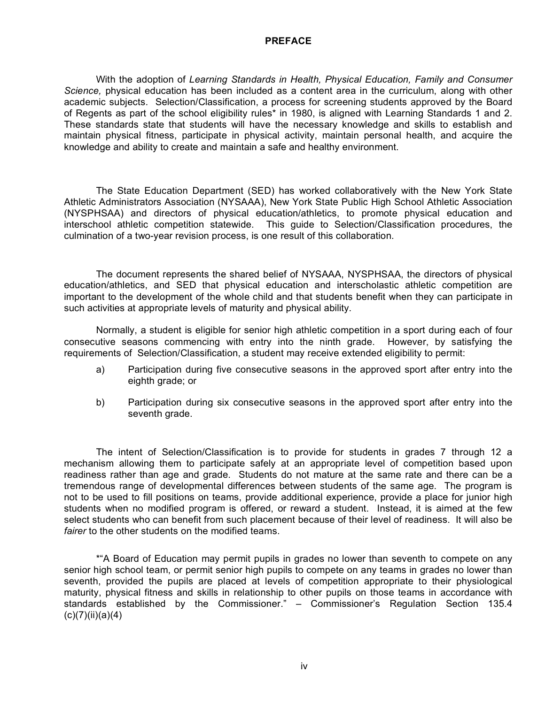#### **PREFACE**

With the adoption of *Learning Standards in Health, Physical Education, Family and Consumer Science,* physical education has been included as a content area in the curriculum, along with other academic subjects. Selection/Classification, a process for screening students approved by the Board of Regents as part of the school eligibility rules\* in 1980, is aligned with Learning Standards 1 and 2. These standards state that students will have the necessary knowledge and skills to establish and maintain physical fitness, participate in physical activity, maintain personal health, and acquire the knowledge and ability to create and maintain a safe and healthy environment.

The State Education Department (SED) has worked collaboratively with the New York State Athletic Administrators Association (NYSAAA), New York State Public High School Athletic Association (NYSPHSAA) and directors of physical education/athletics, to promote physical education and interschool athletic competition statewide. This guide to Selection/Classification procedures, the culmination of a two-year revision process, is one result of this collaboration.

The document represents the shared belief of NYSAAA, NYSPHSAA, the directors of physical education/athletics, and SED that physical education and interscholastic athletic competition are important to the development of the whole child and that students benefit when they can participate in such activities at appropriate levels of maturity and physical ability.

Normally, a student is eligible for senior high athletic competition in a sport during each of four consecutive seasons commencing with entry into the ninth grade. However, by satisfying the requirements of Selection/Classification, a student may receive extended eligibility to permit:

- a) Participation during five consecutive seasons in the approved sport after entry into the eighth grade; or
- b) Participation during six consecutive seasons in the approved sport after entry into the seventh grade.

The intent of Selection/Classification is to provide for students in grades 7 through 12 a mechanism allowing them to participate safely at an appropriate level of competition based upon readiness rather than age and grade. Students do not mature at the same rate and there can be a tremendous range of developmental differences between students of the same age. The program is not to be used to fill positions on teams, provide additional experience, provide a place for junior high students when no modified program is offered, or reward a student. Instead, it is aimed at the few select students who can benefit from such placement because of their level of readiness. It will also be *fairer* to the other students on the modified teams.

\*"A Board of Education may permit pupils in grades no lower than seventh to compete on any senior high school team, or permit senior high pupils to compete on any teams in grades no lower than seventh, provided the pupils are placed at levels of competition appropriate to their physiological maturity, physical fitness and skills in relationship to other pupils on those teams in accordance with standards established by the Commissioner." – Commissioner's Regulation Section 135.4  $(c)(7)(ii)(a)(4)$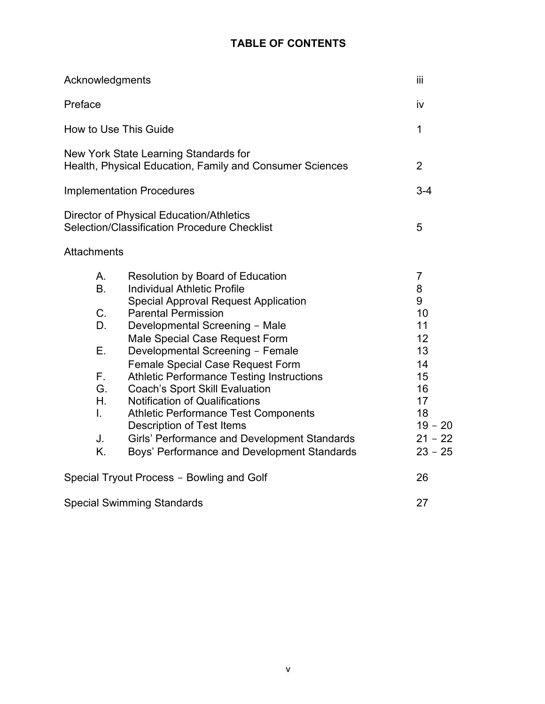# **TABLE OF CONTENTS**

| Acknowledgments                                                       |                                                                                                                                                                                                                                                                                                                                                                                                                                                                                                                                                                                                                                | iii                                                                                                                   |
|-----------------------------------------------------------------------|--------------------------------------------------------------------------------------------------------------------------------------------------------------------------------------------------------------------------------------------------------------------------------------------------------------------------------------------------------------------------------------------------------------------------------------------------------------------------------------------------------------------------------------------------------------------------------------------------------------------------------|-----------------------------------------------------------------------------------------------------------------------|
| Preface                                                               |                                                                                                                                                                                                                                                                                                                                                                                                                                                                                                                                                                                                                                | iv                                                                                                                    |
|                                                                       | How to Use This Guide                                                                                                                                                                                                                                                                                                                                                                                                                                                                                                                                                                                                          | 1                                                                                                                     |
|                                                                       | New York State Learning Standards for<br>Health, Physical Education, Family and Consumer Sciences                                                                                                                                                                                                                                                                                                                                                                                                                                                                                                                              | $\overline{2}$                                                                                                        |
|                                                                       | <b>Implementation Procedures</b>                                                                                                                                                                                                                                                                                                                                                                                                                                                                                                                                                                                               | $3 - 4$                                                                                                               |
|                                                                       | <b>Director of Physical Education/Athletics</b><br>Selection/Classification Procedure Checklist                                                                                                                                                                                                                                                                                                                                                                                                                                                                                                                                | 5                                                                                                                     |
| Attachments                                                           |                                                                                                                                                                                                                                                                                                                                                                                                                                                                                                                                                                                                                                |                                                                                                                       |
| Α.<br><b>B.</b><br>C.<br>D.<br>Ε.<br>F.<br>G.<br>Η.<br>L.<br>J.<br>K. | <b>Resolution by Board of Education</b><br><b>Individual Athletic Profile</b><br><b>Special Approval Request Application</b><br><b>Parental Permission</b><br>Developmental Screening - Male<br>Male Special Case Request Form<br>Developmental Screening - Female<br>Female Special Case Request Form<br><b>Athletic Performance Testing Instructions</b><br><b>Coach's Sport Skill Evaluation</b><br><b>Notification of Qualifications</b><br><b>Athletic Performance Test Components</b><br><b>Description of Test Items</b><br>Girls' Performance and Development Standards<br>Boys' Performance and Development Standards | $\overline{7}$<br>8<br>9<br>10<br>11<br>12<br>13<br>14<br>15<br>16<br>17<br>18<br>$19 - 20$<br>$21 - 22$<br>$23 - 25$ |
|                                                                       | Special Tryout Process - Bowling and Golf                                                                                                                                                                                                                                                                                                                                                                                                                                                                                                                                                                                      | 26                                                                                                                    |
|                                                                       | <b>Special Swimming Standards</b>                                                                                                                                                                                                                                                                                                                                                                                                                                                                                                                                                                                              | 27                                                                                                                    |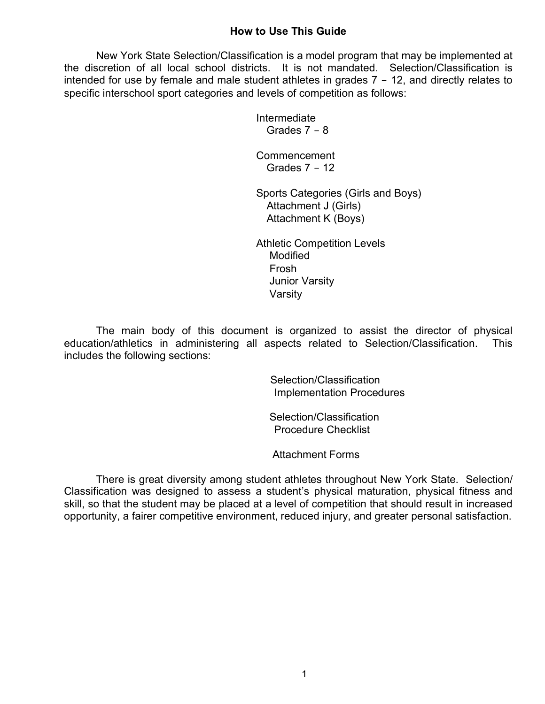#### **How to Use This Guide**

New York State Selection/Classification is a model program that may be implemented at the discretion of all local school districts. It is not mandated. Selection/Classification is intended for use by female and male student athletes in grades 7 - 12, and directly relates to specific interschool sport categories and levels of competition as follows:

> Intermediate Grades 7 - 8

Commencement Grades  $7 - 12$ 

Sports Categories (Girls and Boys) Attachment J (Girls) Attachment K (Boys)

Athletic Competition Levels Modified Frosh Junior Varsity Varsity

The main body of this document is organized to assist the director of physical education/athletics in administering all aspects related to Selection/Classification. This includes the following sections:

> Selection/Classification Implementation Procedures

 Selection/Classification Procedure Checklist

Attachment Forms

There is great diversity among student athletes throughout New York State. Selection/ Classification was designed to assess a student's physical maturation, physical fitness and skill, so that the student may be placed at a level of competition that should result in increased opportunity, a fairer competitive environment, reduced injury, and greater personal satisfaction.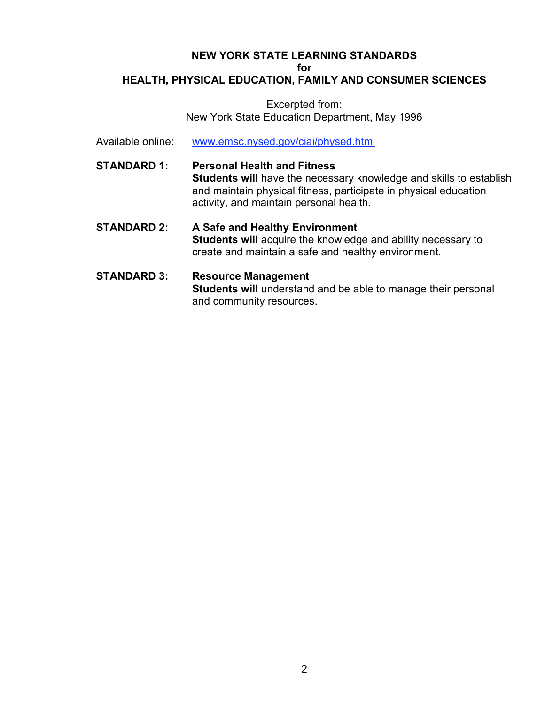#### **NEW YORK STATE LEARNING STANDARDS for HEALTH, PHYSICAL EDUCATION, FAMILY AND CONSUMER SCIENCES**

#### Excerpted from: New York State Education Department, May 1996

- Available online: www.emsc.nysed.gov/ciai/physed.html
- **STANDARD 1: Personal Health and Fitness Students will** have the necessary knowledge and skills to establish and maintain physical fitness, participate in physical education activity, and maintain personal health.
- **STANDARD 2: A Safe and Healthy Environment Students will** acquire the knowledge and ability necessary to create and maintain a safe and healthy environment.
- **STANDARD 3: Resource Management Students will** understand and be able to manage their personal and community resources.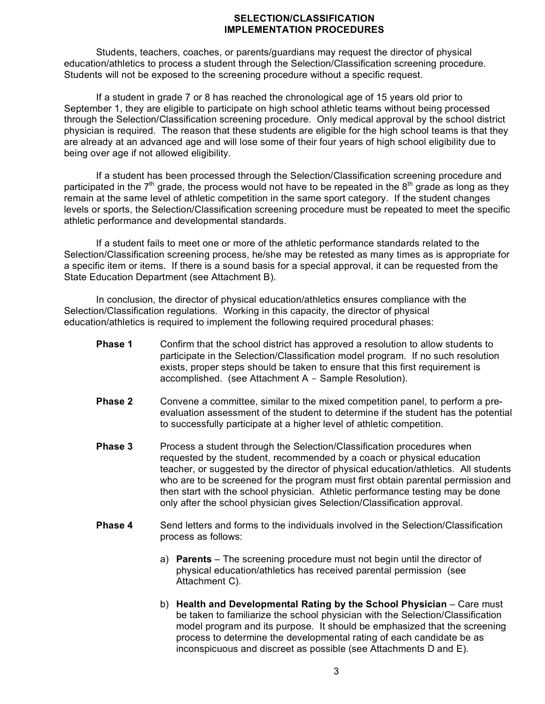#### **SELECTION/CLASSIFICATION IMPLEMENTATION PROCEDURES**

Students, teachers, coaches, or parents/guardians may request the director of physical education/athletics to process a student through the Selection/Classification screening procedure. Students will not be exposed to the screening procedure without a specific request.

If a student in grade 7 or 8 has reached the chronological age of 15 years old prior to September 1, they are eligible to participate on high school athletic teams without being processed through the Selection/Classification screening procedure. Only medical approval by the school district physician is required. The reason that these students are eligible for the high school teams is that they are already at an advanced age and will lose some of their four years of high school eligibility due to being over age if not allowed eligibility.

If a student has been processed through the Selection/Classification screening procedure and participated in the  $7<sup>th</sup>$  grade, the process would not have to be repeated in the  $8<sup>th</sup>$  grade as long as they remain at the same level of athletic competition in the same sport category. If the student changes levels or sports, the Selection/Classification screening procedure must be repeated to meet the specific athletic performance and developmental standards.

If a student fails to meet one or more of the athletic performance standards related to the Selection/Classification screening process, he/she may be retested as many times as is appropriate for a specific item or items. If there is a sound basis for a special approval, it can be requested from the State Education Department (see Attachment B).

In conclusion, the director of physical education/athletics ensures compliance with the Selection/Classification regulations. Working in this capacity, the director of physical education/athletics is required to implement the following required procedural phases:

- **Phase 1** Confirm that the school district has approved a resolution to allow students to participate in the Selection/Classification model program. If no such resolution exists, proper steps should be taken to ensure that this first requirement is accomplished. (see Attachment A - Sample Resolution).
- **Phase 2** Convene a committee, similar to the mixed competition panel, to perform a preevaluation assessment of the student to determine if the student has the potential to successfully participate at a higher level of athletic competition.
- **Phase 3** Process a student through the Selection/Classification procedures when requested by the student, recommended by a coach or physical education teacher, or suggested by the director of physical education/athletics. All students who are to be screened for the program must first obtain parental permission and then start with the school physician. Athletic performance testing may be done only after the school physician gives Selection/Classification approval.
- **Phase 4** Send letters and forms to the individuals involved in the Selection/Classification process as follows:
	- a) **Parents** The screening procedure must not begin until the director of physical education/athletics has received parental permission (see Attachment C).
	- b) **Health and Developmental Rating by the School Physician** Care must be taken to familiarize the school physician with the Selection/Classification model program and its purpose. It should be emphasized that the screening process to determine the developmental rating of each candidate be as inconspicuous and discreet as possible (see Attachments D and E).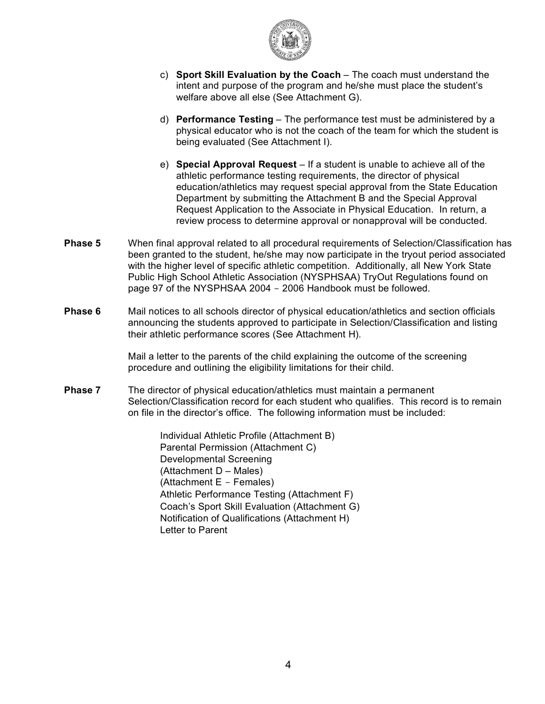

- c) **Sport Skill Evaluation by the Coach** The coach must understand the intent and purpose of the program and he/she must place the student's welfare above all else (See Attachment G).
- d) **Performance Testing** The performance test must be administered by a physical educator who is not the coach of the team for which the student is being evaluated (See Attachment I).
- e) **Special Approval Request** If a student is unable to achieve all of the athletic performance testing requirements, the director of physical education/athletics may request special approval from the State Education Department by submitting the Attachment B and the Special Approval Request Application to the Associate in Physical Education. In return, a review process to determine approval or nonapproval will be conducted.
- **Phase 5** When final approval related to all procedural requirements of Selection/Classification has been granted to the student, he/she may now participate in the tryout period associated with the higher level of specific athletic competition. Additionally, all New York State Public High School Athletic Association (NYSPHSAA) TryOut Regulations found on page 97 of the NYSPHSAA 2004 - 2006 Handbook must be followed.
- **Phase 6** Mail notices to all schools director of physical education/athletics and section officials announcing the students approved to participate in Selection/Classification and listing their athletic performance scores (See Attachment H).

Mail a letter to the parents of the child explaining the outcome of the screening procedure and outlining the eligibility limitations for their child.

**Phase 7** The director of physical education/athletics must maintain a permanent Selection/Classification record for each student who qualifies. This record is to remain on file in the director's office. The following information must be included:

> Individual Athletic Profile (Attachment B) Parental Permission (Attachment C) Developmental Screening (Attachment D – Males) (Attachment E - Females) Athletic Performance Testing (Attachment F) Coach's Sport Skill Evaluation (Attachment G) Notification of Qualifications (Attachment H) Letter to Parent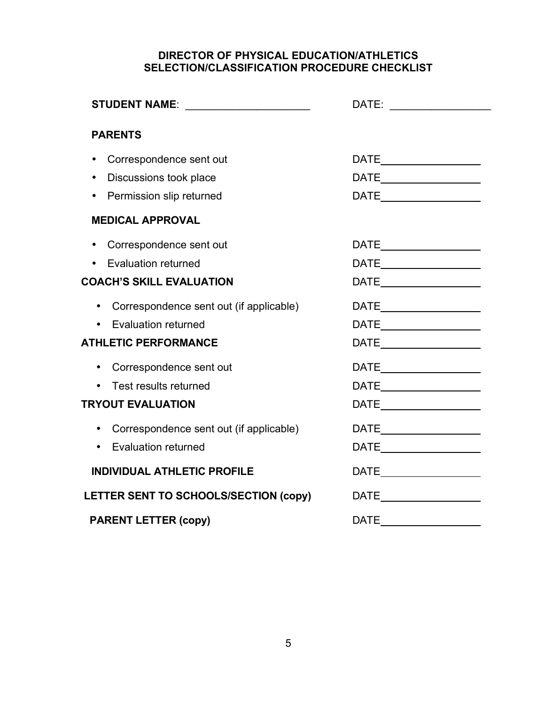## **DIRECTOR OF PHYSICAL EDUCATION/ATHLETICS SELECTION/CLASSIFICATION PROCEDURE CHECKLIST**

| <b>PARENTS</b>                                       |                                                                                                                                                                                                                                                                                                                                                                                             |
|------------------------------------------------------|---------------------------------------------------------------------------------------------------------------------------------------------------------------------------------------------------------------------------------------------------------------------------------------------------------------------------------------------------------------------------------------------|
| Correspondence sent out                              | $\begin{tabular}{c} \bf{DATE} \end{tabular}$                                                                                                                                                                                                                                                                                                                                                |
| Discussions took place                               |                                                                                                                                                                                                                                                                                                                                                                                             |
| Permission slip returned                             |                                                                                                                                                                                                                                                                                                                                                                                             |
| <b>MEDICAL APPROVAL</b>                              |                                                                                                                                                                                                                                                                                                                                                                                             |
| Correspondence sent out<br>$\bullet$                 |                                                                                                                                                                                                                                                                                                                                                                                             |
| • Evaluation returned                                |                                                                                                                                                                                                                                                                                                                                                                                             |
| <b>COACH'S SKILL EVALUATION</b>                      | $\begin{picture}(180,10) \put(0,0){\dashbox{0.5}(10,0){ }} \put(15,0){\circle{10}} \put(15,0){\circle{10}} \put(15,0){\circle{10}} \put(15,0){\circle{10}} \put(15,0){\circle{10}} \put(15,0){\circle{10}} \put(15,0){\circle{10}} \put(15,0){\circle{10}} \put(15,0){\circle{10}} \put(15,0){\circle{10}} \put(15,0){\circle{10}} \put(15,0){\circle{10}} \put(15,0){\circle{10}} \put(15$ |
| Correspondence sent out (if applicable)<br>$\bullet$ | $\begin{picture}(25,20) \put(0,0){\dashbox{0.5}(5,0){ }} \put(15,0){\circle{10}} \put(25,0){\circle{10}} \put(25,0){\circle{10}} \put(25,0){\circle{10}} \put(25,0){\circle{10}} \put(25,0){\circle{10}} \put(25,0){\circle{10}} \put(25,0){\circle{10}} \put(25,0){\circle{10}} \put(25,0){\circle{10}} \put(25,0){\circle{10}} \put(25,0){\circle{10}} \put(25,0){\circle{10}} \put(25,0$ |
| <b>Evaluation returned</b>                           | $\mathsf{DATE} \_\_\_\_\_\_\_\_\_\$                                                                                                                                                                                                                                                                                                                                                         |
| <b>ATHLETIC PERFORMANCE</b>                          |                                                                                                                                                                                                                                                                                                                                                                                             |
| Correspondence sent out<br>$\bullet$                 |                                                                                                                                                                                                                                                                                                                                                                                             |
| Test results returned                                |                                                                                                                                                                                                                                                                                                                                                                                             |
| <b>TRYOUT EVALUATION</b>                             |                                                                                                                                                                                                                                                                                                                                                                                             |
| • Correspondence sent out (if applicable)            |                                                                                                                                                                                                                                                                                                                                                                                             |
| <b>Evaluation returned</b>                           |                                                                                                                                                                                                                                                                                                                                                                                             |
| <b>INDIVIDUAL ATHLETIC PROFILE</b>                   |                                                                                                                                                                                                                                                                                                                                                                                             |
| LETTER SENT TO SCHOOLS/SECTION (copy)                |                                                                                                                                                                                                                                                                                                                                                                                             |
| <b>PARENT LETTER (copy)</b>                          | DATE <b>DATE</b>                                                                                                                                                                                                                                                                                                                                                                            |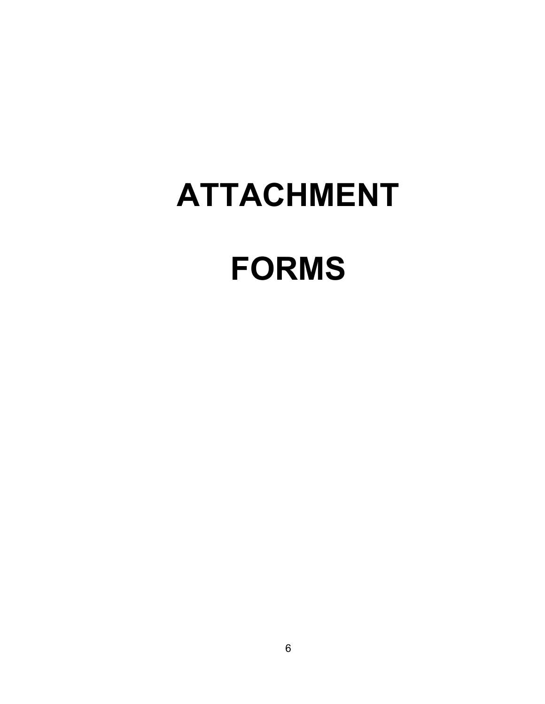# **ATTACHMENT FORMS**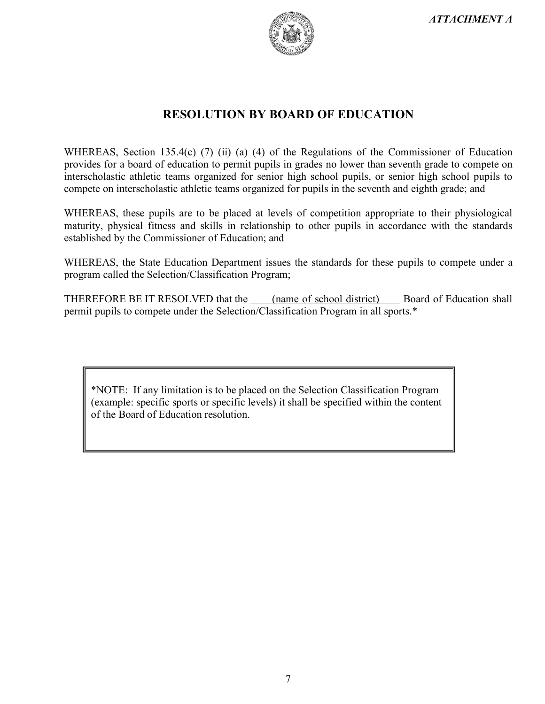

# **RESOLUTION BY BOARD OF EDUCATION**

WHEREAS, Section 135.4(c) (7) (ii) (a) (4) of the Regulations of the Commissioner of Education provides for a board of education to permit pupils in grades no lower than seventh grade to compete on interscholastic athletic teams organized for senior high school pupils, or senior high school pupils to compete on interscholastic athletic teams organized for pupils in the seventh and eighth grade; and

WHEREAS, these pupils are to be placed at levels of competition appropriate to their physiological maturity, physical fitness and skills in relationship to other pupils in accordance with the standards established by the Commissioner of Education; and

WHEREAS, the State Education Department issues the standards for these pupils to compete under a program called the Selection/Classification Program;

THEREFORE BE IT RESOLVED that the (name of school district) Board of Education shall permit pupils to compete under the Selection/Classification Program in all sports.\*

\*NOTE: If any limitation is to be placed on the Selection Classification Program (example: specific sports or specific levels) it shall be specified within the content of the Board of Education resolution.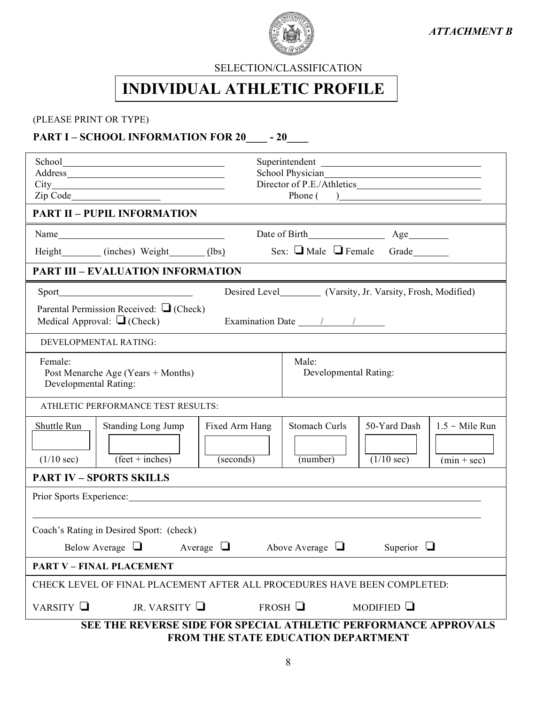

*ATTACHMENT B*

SELECTION/CLASSIFICATION

# **INDIVIDUAL ATHLETIC PROFILE**

## (PLEASE PRINT OR TYPE)

# **PART I – SCHOOL INFORMATION FOR 20\_\_\_\_ - 20\_\_\_\_**

| Superintendent                                                                                                                                                                                                                                                   |  |  |  |  |  |
|------------------------------------------------------------------------------------------------------------------------------------------------------------------------------------------------------------------------------------------------------------------|--|--|--|--|--|
| Phone $($ $)$<br><b>PART II - PUPIL INFORMATION</b>                                                                                                                                                                                                              |  |  |  |  |  |
|                                                                                                                                                                                                                                                                  |  |  |  |  |  |
| Sex: Male Female Grade<br>Height (inches) Weight (lbs)                                                                                                                                                                                                           |  |  |  |  |  |
| <b>PART III - EVALUATION INFORMATION</b>                                                                                                                                                                                                                         |  |  |  |  |  |
| Desired Level__________ (Varsity, Jr. Varsity, Frosh, Modified)                                                                                                                                                                                                  |  |  |  |  |  |
| Parental Permission Received: $\Box$ (Check)<br>Medical Approval: $\Box$ (Check)                                                                                                                                                                                 |  |  |  |  |  |
| DEVELOPMENTAL RATING:                                                                                                                                                                                                                                            |  |  |  |  |  |
| Female:<br>Male:<br>Post Menarche Age (Years + Months)<br>Developmental Rating:<br>Developmental Rating:                                                                                                                                                         |  |  |  |  |  |
| ATHLETIC PERFORMANCE TEST RESULTS:                                                                                                                                                                                                                               |  |  |  |  |  |
| 50-Yard Dash<br><b>Stomach Curls</b><br>$1.5$ – Mile Run<br>Shuttle Run<br><b>Standing Long Jump</b><br>Fixed Arm Hang<br>$(\text{feet} + \text{inches})$<br>$(s$ econds $)$<br>$(1/10 \text{ sec})$<br>(number)<br>$(1/10 \text{ sec})$<br>$(min + sec)$        |  |  |  |  |  |
| <b>PART IV - SPORTS SKILLS</b>                                                                                                                                                                                                                                   |  |  |  |  |  |
| Prior Sports Experience:<br><u>and the state of the state of the state of the state of the state of the state of the state of the state of the state of the state of the state of the state of the state of the state of the state of the state of the state</u> |  |  |  |  |  |
| Coach's Rating in Desired Sport: (check)                                                                                                                                                                                                                         |  |  |  |  |  |
| Above Average $\Box$<br>Below Average $\Box$ Average $\Box$<br>Superior $\Box$                                                                                                                                                                                   |  |  |  |  |  |
| <b>PART V - FINAL PLACEMENT</b>                                                                                                                                                                                                                                  |  |  |  |  |  |
| CHECK LEVEL OF FINAL PLACEMENT AFTER ALL PROCEDURES HAVE BEEN COMPLETED:                                                                                                                                                                                         |  |  |  |  |  |
| VARSITY $\Box$<br>JR. VARSITY $\Box$<br>FROSH<br>MODIFIED $\Box$                                                                                                                                                                                                 |  |  |  |  |  |
| SEE THE REVERSE SIDE FOR SPECIAL ATHLETIC PERFORMANCE APPROVALS<br>FROM THE STATE EDUCATION DEPARTMENT                                                                                                                                                           |  |  |  |  |  |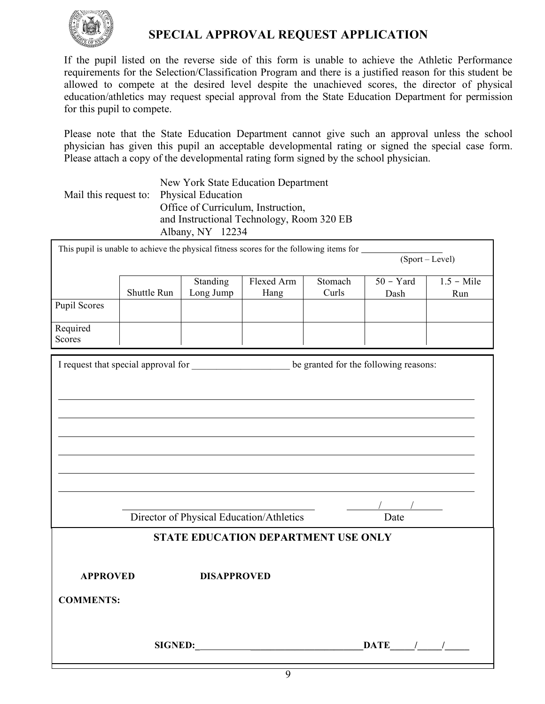

# **SPECIAL APPROVAL REQUEST APPLICATION**

If the pupil listed on the reverse side of this form is unable to achieve the Athletic Performance requirements for the Selection/Classification Program and there is a justified reason for this student be allowed to compete at the desired level despite the unachieved scores, the director of physical education/athletics may request special approval from the State Education Department for permission for this pupil to compete.

Please note that the State Education Department cannot give such an approval unless the school physician has given this pupil an acceptable developmental rating or signed the special case form. Please attach a copy of the developmental rating form signed by the school physician.

|                                          | New York State Education Department       |
|------------------------------------------|-------------------------------------------|
| Mail this request to: Physical Education |                                           |
|                                          | Office of Curriculum, Instruction,        |
|                                          | and Instructional Technology, Room 320 EB |
|                                          | Albany, NY 12234                          |

| This pupil is unable to achieve the physical fitness scores for the following items for            |                 |                    |                                            |         |                     |              |  |
|----------------------------------------------------------------------------------------------------|-----------------|--------------------|--------------------------------------------|---------|---------------------|--------------|--|
|                                                                                                    | (Sport – Level) |                    |                                            |         |                     |              |  |
|                                                                                                    |                 |                    |                                            |         |                     |              |  |
|                                                                                                    |                 | Standing           | Flexed Arm                                 | Stomach | $50 - Yard$         | $1.5 -$ Mile |  |
|                                                                                                    | Shuttle Run     | Long Jump          | Hang                                       | Curls   | Dash                | Run          |  |
| <b>Pupil Scores</b>                                                                                |                 |                    |                                            |         |                     |              |  |
|                                                                                                    |                 |                    |                                            |         |                     |              |  |
| Required                                                                                           |                 |                    |                                            |         |                     |              |  |
| Scores                                                                                             |                 |                    |                                            |         |                     |              |  |
|                                                                                                    |                 |                    |                                            |         |                     |              |  |
|                                                                                                    |                 |                    |                                            |         |                     |              |  |
| I request that special approval for ________________________ be granted for the following reasons: |                 |                    |                                            |         |                     |              |  |
|                                                                                                    |                 |                    |                                            |         |                     |              |  |
|                                                                                                    |                 |                    |                                            |         |                     |              |  |
|                                                                                                    |                 |                    |                                            |         |                     |              |  |
|                                                                                                    |                 |                    |                                            |         |                     |              |  |
|                                                                                                    |                 |                    |                                            |         |                     |              |  |
|                                                                                                    |                 |                    |                                            |         |                     |              |  |
|                                                                                                    |                 |                    |                                            |         |                     |              |  |
|                                                                                                    |                 |                    |                                            |         |                     |              |  |
|                                                                                                    |                 |                    |                                            |         |                     |              |  |
|                                                                                                    |                 |                    |                                            |         |                     |              |  |
|                                                                                                    |                 |                    |                                            |         |                     |              |  |
|                                                                                                    |                 |                    |                                            |         |                     |              |  |
|                                                                                                    |                 |                    |                                            |         |                     |              |  |
|                                                                                                    |                 |                    | Director of Physical Education/Athletics   |         | Date                |              |  |
|                                                                                                    |                 |                    |                                            |         |                     |              |  |
|                                                                                                    |                 |                    | <b>STATE EDUCATION DEPARTMENT USE ONLY</b> |         |                     |              |  |
|                                                                                                    |                 |                    |                                            |         |                     |              |  |
|                                                                                                    |                 |                    |                                            |         |                     |              |  |
|                                                                                                    |                 |                    |                                            |         |                     |              |  |
| <b>APPROVED</b>                                                                                    |                 | <b>DISAPPROVED</b> |                                            |         |                     |              |  |
|                                                                                                    |                 |                    |                                            |         |                     |              |  |
| <b>COMMENTS:</b>                                                                                   |                 |                    |                                            |         |                     |              |  |
|                                                                                                    |                 |                    |                                            |         |                     |              |  |
|                                                                                                    |                 |                    |                                            |         |                     |              |  |
|                                                                                                    |                 |                    |                                            |         |                     |              |  |
|                                                                                                    |                 |                    |                                            |         | $\mathbf{DATE}$ / / |              |  |
|                                                                                                    |                 |                    |                                            |         |                     |              |  |
|                                                                                                    |                 |                    |                                            |         |                     |              |  |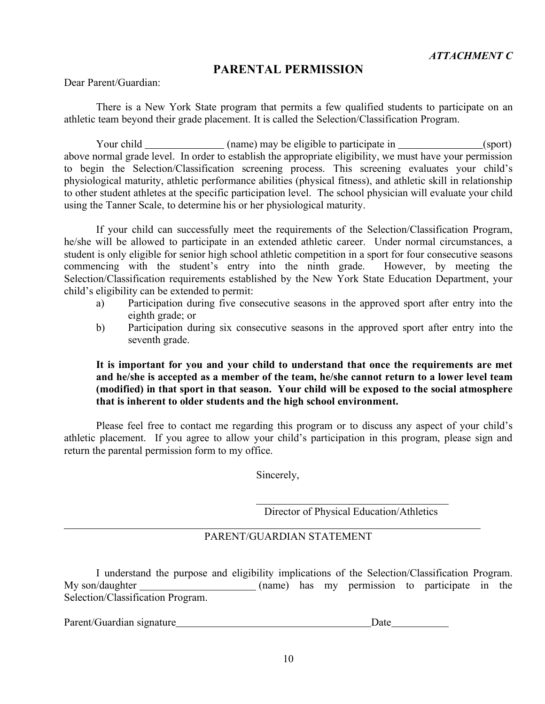## **PARENTAL PERMISSION**

Dear Parent/Guardian:

There is a New York State program that permits a few qualified students to participate on an athletic team beyond their grade placement. It is called the Selection/Classification Program.

Your child \_\_\_\_\_\_\_\_\_\_\_\_\_\_\_ (name) may be eligible to participate in \_\_\_\_\_\_\_\_\_\_\_\_\_\_(sport) above normal grade level. In order to establish the appropriate eligibility, we must have your permission to begin the Selection/Classification screening process. This screening evaluates your child's physiological maturity, athletic performance abilities (physical fitness), and athletic skill in relationship to other student athletes at the specific participation level. The school physician will evaluate your child using the Tanner Scale, to determine his or her physiological maturity.

If your child can successfully meet the requirements of the Selection/Classification Program, he/she will be allowed to participate in an extended athletic career. Under normal circumstances, a student is only eligible for senior high school athletic competition in a sport for four consecutive seasons commencing with the student's entry into the ninth grade. However, by meeting the Selection/Classification requirements established by the New York State Education Department, your child's eligibility can be extended to permit:

- a) Participation during five consecutive seasons in the approved sport after entry into the eighth grade; or
- b) Participation during six consecutive seasons in the approved sport after entry into the seventh grade.

#### **It is important for you and your child to understand that once the requirements are met and he/she is accepted as a member of the team, he/she cannot return to a lower level team (modified) in that sport in that season. Your child will be exposed to the social atmosphere that is inherent to older students and the high school environment.**

Please feel free to contact me regarding this program or to discuss any aspect of your child's athletic placement. If you agree to allow your child's participation in this program, please sign and return the parental permission form to my office.

Sincerely,

Director of Physical Education/Athletics

#### PARENT/GUARDIAN STATEMENT

I understand the purpose and eligibility implications of the Selection/Classification Program. My son/daughter (name) has my permission to participate in the Selection/Classification Program.

Parent/Guardian signature Date Date Date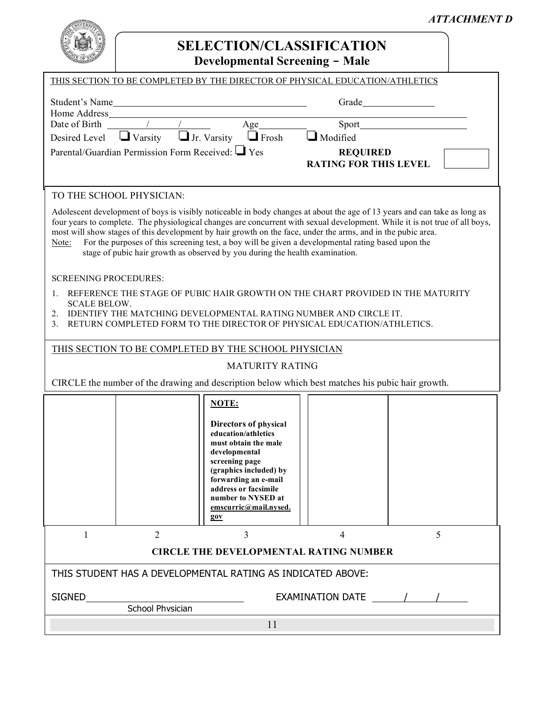

# **SELECTION/CLASSIFICATION Developmental Screening - Male**

| -------                                        |                                                        |              | $D$ evelopillental Screening – Iviale                                        |  |
|------------------------------------------------|--------------------------------------------------------|--------------|------------------------------------------------------------------------------|--|
|                                                |                                                        |              | THIS SECTION TO BE COMPLETED BY THE DIRECTOR OF PHYSICAL EDUCATION/ATHLETICS |  |
| Student's Name<br>Home Address                 |                                                        |              | Grade                                                                        |  |
| Date of Birth $\frac{1}{\sqrt{1-\frac{1}{2}}}$ |                                                        | Age          | Sport                                                                        |  |
|                                                | Desired Level $\Box$ Varsity $\Box$ Jr. Varsity        | $\Box$ Frosh | $\Box$ Modified                                                              |  |
|                                                | Parental/Guardian Permission Form Received: $\Box$ Yes |              | <b>REQUIRED</b><br><b>RATING FOR THIS LEVEL</b>                              |  |

#### TO THE SCHOOL PHYSICIAN:

Adolescent development of boys is visibly noticeable in body changes at about the age of 13 years and can take as long as four years to complete. The physiological changes are concurrent with sexual development. While it is not true of all boys, most will show stages of this development by hair growth on the face, under the arms, and in the pubic area.

Note: For the purposes of this screening test, a boy will be given a developmental rating based upon the stage of pubic hair growth as observed by you during the health examination.

#### SCREENING PROCEDURES:

- 1. REFERENCE THE STAGE OF PUBIC HAIR GROWTH ON THE CHART PROVIDED IN THE MATURITY SCALE BELOW.
- 2. IDENTIFY THE MATCHING DEVELOPMENTAL RATING NUMBER AND CIRCLE IT.
- 3. RETURN COMPLETED FORM TO THE DIRECTOR OF PHYSICAL EDUCATION/ATHLETICS.

#### THIS SECTION TO BE COMPLETED BY THE SCHOOL PHYSICIAN

#### MATURITY RATING

CIRCLE the number of the drawing and description below which best matches his pubic hair growth.

|                                                             |                | NOTE:<br>Directors of physical<br>education/athletics<br>must obtain the male<br>developmental<br>screening page<br>(graphics included) by<br>forwarding an e-mail<br>address or facsimile<br>number to NYSED at<br>emscurric@mail.nysed.<br>90V |   |   |  |  |
|-------------------------------------------------------------|----------------|--------------------------------------------------------------------------------------------------------------------------------------------------------------------------------------------------------------------------------------------------|---|---|--|--|
|                                                             | $\overline{2}$ | 3                                                                                                                                                                                                                                                | 4 | 5 |  |  |
| <b>CIRCLE THE DEVELOPMENTAL RATING NUMBER</b>               |                |                                                                                                                                                                                                                                                  |   |   |  |  |
| THIS STUDENT HAS A DEVELOPMENTAL RATING AS INDICATED ABOVE: |                |                                                                                                                                                                                                                                                  |   |   |  |  |
| <b>SIGNED</b><br>EXAMINATION DATE<br>School Physician       |                |                                                                                                                                                                                                                                                  |   |   |  |  |
| 11                                                          |                |                                                                                                                                                                                                                                                  |   |   |  |  |

## *ATTACHMENT D*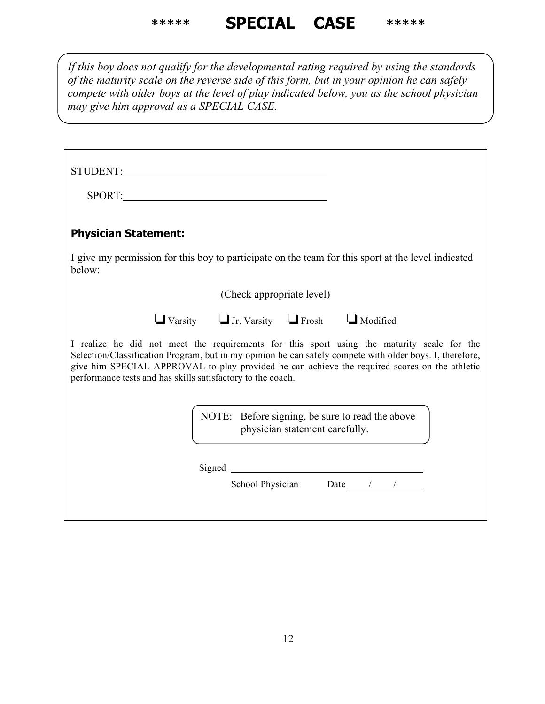# **\*\*\*\*\* SPECIAL CASE \*\*\*\*\***

*If this boy does not qualify for the developmental rating required by using the standards of the maturity scale on the reverse side of this form, but in your opinion he can safely compete with older boys at the level of play indicated below, you as the school physician may give him approval as a SPECIAL CASE.*

| STUDENT: North Contract Contract Contract Contract Contract Contract Contract Contract Contract Contract Contract Contract Contract Contract Contract Contract Contract Contract Contract Contract Contract Contract Contract                                                                                                                                          |
|------------------------------------------------------------------------------------------------------------------------------------------------------------------------------------------------------------------------------------------------------------------------------------------------------------------------------------------------------------------------|
| SPORT:                                                                                                                                                                                                                                                                                                                                                                 |
| <b>Physician Statement:</b>                                                                                                                                                                                                                                                                                                                                            |
| I give my permission for this boy to participate on the team for this sport at the level indicated<br>below:                                                                                                                                                                                                                                                           |
| (Check appropriate level)                                                                                                                                                                                                                                                                                                                                              |
| $\Box$ Varsity $\Box$ Jr. Varsity $\Box$ Frosh $\Box$ Modified                                                                                                                                                                                                                                                                                                         |
| I realize he did not meet the requirements for this sport using the maturity scale for the<br>Selection/Classification Program, but in my opinion he can safely compete with older boys. I, therefore,<br>give him SPECIAL APPROVAL to play provided he can achieve the required scores on the athletic<br>performance tests and has skills satisfactory to the coach. |
| NOTE: Before signing, be sure to read the above<br>physician statement carefully.                                                                                                                                                                                                                                                                                      |
|                                                                                                                                                                                                                                                                                                                                                                        |
| School Physician Date $\frac{1}{2}$ 1                                                                                                                                                                                                                                                                                                                                  |
|                                                                                                                                                                                                                                                                                                                                                                        |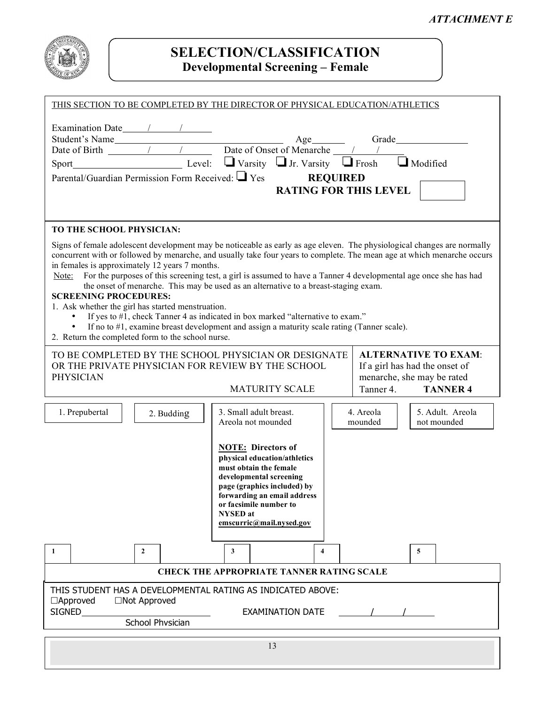

# **SELECTION/CLASSIFICATION Developmental Screening – Female**

| THIS SECTION TO BE COMPLETED BY THE DIRECTOR OF PHYSICAL EDUCATION/ATHLETICS                                                                                                                                                                                                                                                                                                                                                                                                                                                                                                                                                                                                                                                                                                                                                                    |  |  |  |  |  |  |  |
|-------------------------------------------------------------------------------------------------------------------------------------------------------------------------------------------------------------------------------------------------------------------------------------------------------------------------------------------------------------------------------------------------------------------------------------------------------------------------------------------------------------------------------------------------------------------------------------------------------------------------------------------------------------------------------------------------------------------------------------------------------------------------------------------------------------------------------------------------|--|--|--|--|--|--|--|
| Examination Date 11 1<br>Student's Name Student's Name Student's Name Student's Name Student's Name Student's Name Student's Name Student's Name Student's Name Student's Name Student's Name Student's Name Student's Name Student's Name Student's Na<br>Parental/Guardian Permission Form Received: Ves REQUIRED<br><b>RATING FOR THIS LEVEL</b>                                                                                                                                                                                                                                                                                                                                                                                                                                                                                             |  |  |  |  |  |  |  |
| TO THE SCHOOL PHYSICIAN:                                                                                                                                                                                                                                                                                                                                                                                                                                                                                                                                                                                                                                                                                                                                                                                                                        |  |  |  |  |  |  |  |
| Signs of female adolescent development may be noticeable as early as age eleven. The physiological changes are normally<br>concurrent with or followed by menarche, and usually take four years to complete. The mean age at which menarche occurs<br>in females is approximately 12 years 7 months.<br>Note: For the purposes of this screening test, a girl is assumed to have a Tanner 4 developmental age once she has had<br>the onset of menarche. This may be used as an alternative to a breast-staging exam.<br><b>SCREENING PROCEDURES:</b><br>1. Ask whether the girl has started menstruation.<br>If yes to #1, check Tanner 4 as indicated in box marked "alternative to exam."<br>If no to #1, examine breast development and assign a maturity scale rating (Tanner scale).<br>2. Return the completed form to the school nurse. |  |  |  |  |  |  |  |
| TO BE COMPLETED BY THE SCHOOL PHYSICIAN OR DESIGNATE<br><b>ALTERNATIVE TO EXAM:</b><br>OR THE PRIVATE PHYSICIAN FOR REVIEW BY THE SCHOOL<br>If a girl has had the onset of                                                                                                                                                                                                                                                                                                                                                                                                                                                                                                                                                                                                                                                                      |  |  |  |  |  |  |  |
| menarche, she may be rated<br><b>PHYSICIAN</b><br><b>MATURITY SCALE</b><br>Tanner 4. TANNER 4                                                                                                                                                                                                                                                                                                                                                                                                                                                                                                                                                                                                                                                                                                                                                   |  |  |  |  |  |  |  |
| 3. Small adult breast.<br>1. Prepubertal<br>4. Areola<br>5. Adult. Areola<br>2. Budding<br>Areola not mounded<br>not mounded<br>mounded                                                                                                                                                                                                                                                                                                                                                                                                                                                                                                                                                                                                                                                                                                         |  |  |  |  |  |  |  |
| <b>NOTE:</b> Directors of<br>physical education/athletics<br>must obtain the female<br>developmental screening<br>page (graphics included) by<br>forwarding an email address<br>or facsimile number to<br><b>NYSED</b> at<br>emscurric@mail.nysed.gov                                                                                                                                                                                                                                                                                                                                                                                                                                                                                                                                                                                           |  |  |  |  |  |  |  |
| $\mathbf{2}$<br>-1<br>3<br>4<br>5                                                                                                                                                                                                                                                                                                                                                                                                                                                                                                                                                                                                                                                                                                                                                                                                               |  |  |  |  |  |  |  |
| <b>CHECK THE APPROPRIATE TANNER RATING SCALE</b>                                                                                                                                                                                                                                                                                                                                                                                                                                                                                                                                                                                                                                                                                                                                                                                                |  |  |  |  |  |  |  |
| THIS STUDENT HAS A DEVELOPMENTAL RATING AS INDICATED ABOVE:<br>$\Box$ Approved<br>$\Box$ Not Approved<br>SIGNED<br><b>EXAMINATION DATE</b><br>School Physician                                                                                                                                                                                                                                                                                                                                                                                                                                                                                                                                                                                                                                                                                  |  |  |  |  |  |  |  |
| 13                                                                                                                                                                                                                                                                                                                                                                                                                                                                                                                                                                                                                                                                                                                                                                                                                                              |  |  |  |  |  |  |  |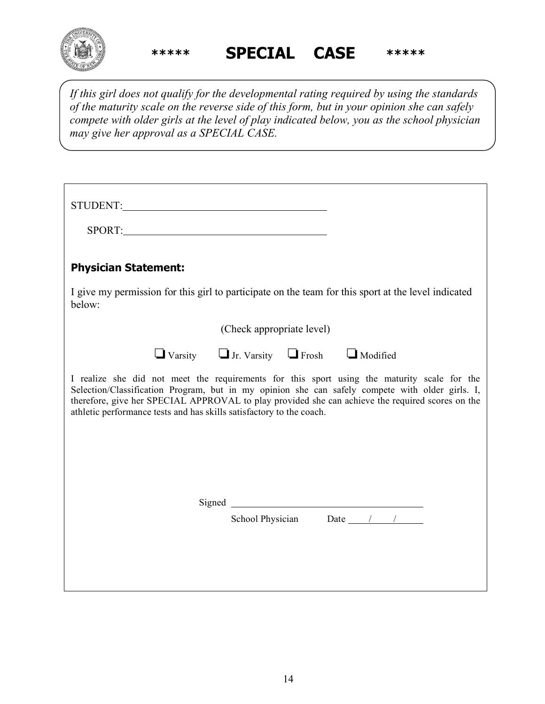

**\*\*\*\*\* SPECIAL CASE \*\*\*\*\***

*If this girl does not qualify for the developmental rating required by using the standards of the maturity scale on the reverse side of this form, but in your opinion she can safely compete with older girls at the level of play indicated below, you as the school physician may give her approval as a SPECIAL CASE.*

| SPORT: SPORT:                                                                                                                                                                                                                                                                                                                                                              |                                                                |                                            |  |
|----------------------------------------------------------------------------------------------------------------------------------------------------------------------------------------------------------------------------------------------------------------------------------------------------------------------------------------------------------------------------|----------------------------------------------------------------|--------------------------------------------|--|
| <b>Physician Statement:</b>                                                                                                                                                                                                                                                                                                                                                |                                                                |                                            |  |
| I give my permission for this girl to participate on the team for this sport at the level indicated<br>below:                                                                                                                                                                                                                                                              |                                                                |                                            |  |
|                                                                                                                                                                                                                                                                                                                                                                            | (Check appropriate level)                                      |                                            |  |
|                                                                                                                                                                                                                                                                                                                                                                            | $\Box$ Varsity $\Box$ Jr. Varsity $\Box$ Frosh $\Box$ Modified |                                            |  |
| I realize she did not meet the requirements for this sport using the maturity scale for the<br>Selection/Classification Program, but in my opinion she can safely compete with older girls. I,<br>therefore, give her SPECIAL APPROVAL to play provided she can achieve the required scores on the<br>athletic performance tests and has skills satisfactory to the coach. |                                                                |                                            |  |
|                                                                                                                                                                                                                                                                                                                                                                            |                                                                |                                            |  |
|                                                                                                                                                                                                                                                                                                                                                                            |                                                                | School Physician Date $\frac{1}{\sqrt{2}}$ |  |
|                                                                                                                                                                                                                                                                                                                                                                            |                                                                |                                            |  |
|                                                                                                                                                                                                                                                                                                                                                                            |                                                                |                                            |  |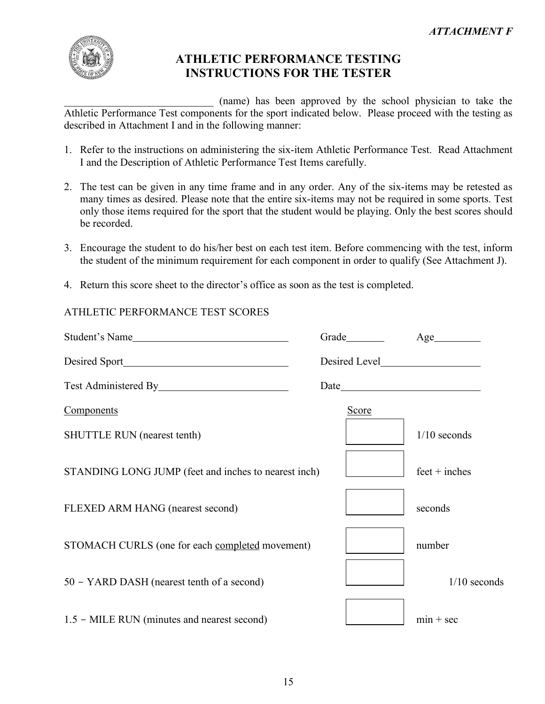

# **ATHLETIC PERFORMANCE TESTING INSTRUCTIONS FOR THE TESTER**

\_\_\_\_\_\_\_\_\_\_\_\_\_\_\_\_\_\_\_\_\_\_\_\_\_\_\_\_ (name) has been approved by the school physician to take the Athletic Performance Test components for the sport indicated below. Please proceed with the testing as described in Attachment I and in the following manner:

- 1. Refer to the instructions on administering the six-item Athletic Performance Test. Read Attachment I and the Description of Athletic Performance Test Items carefully.
- 2. The test can be given in any time frame and in any order. Any of the six-items may be retested as many times as desired. Please note that the entire six-items may not be required in some sports. Test only those items required for the sport that the student would be playing. Only the best scores should be recorded.
- 3. Encourage the student to do his/her best on each test item. Before commencing with the test, inform the student of the minimum requirement for each component in order to qualify (See Attachment J).
- 4. Return this score sheet to the director's office as soon as the test is completed.

# ATHLETIC PERFORMANCE TEST SCORES

| Student's Name                                       |              | Age             |
|------------------------------------------------------|--------------|-----------------|
|                                                      |              |                 |
|                                                      |              |                 |
| <b>Components</b>                                    | <b>Score</b> |                 |
| <b>SHUTTLE RUN</b> (nearest tenth)                   |              | $1/10$ seconds  |
| STANDING LONG JUMP (feet and inches to nearest inch) |              | $feet + inches$ |
| FLEXED ARM HANG (nearest second)                     |              | seconds         |
| STOMACH CURLS (one for each completed movement)      |              | number          |
| 50 - YARD DASH (nearest tenth of a second)           |              | $1/10$ seconds  |
| 1.5 – MILE RUN (minutes and nearest second)          |              | $min + sec$     |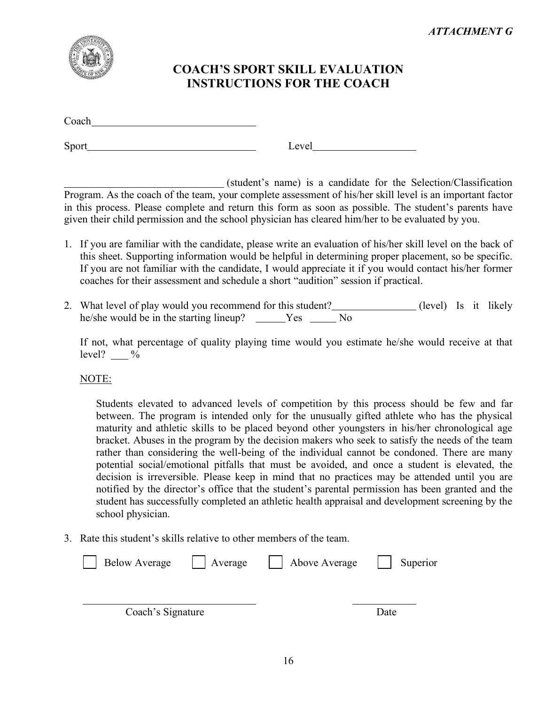

# **COACH'S SPORT SKILL EVALUATION INSTRUCTIONS FOR THE COACH**

Coach and the contract of the contract of the contract of the contract of the contract of the contract of the contract of the contract of the contract of the contract of the contract of the contract of the contract of the

Sport Level

(student's name) is a candidate for the Selection/Classification Program. As the coach of the team, your complete assessment of his/her skill level is an important factor in this process. Please complete and return this form as soon as possible. The student's parents have given their child permission and the school physician has cleared him/her to be evaluated by you.

- 1. If you are familiar with the candidate, please write an evaluation of his/her skill level on the back of this sheet. Supporting information would be helpful in determining proper placement, so be specific. If you are not familiar with the candidate, I would appreciate it if you would contact his/her former coaches for their assessment and schedule a short "audition" session if practical.
- 2. What level of play would you recommend for this student? (level) Is it likely he/she would be in the starting lineup? \_\_\_\_\_Yes \_\_\_\_\_No

If not, what percentage of quality playing time would you estimate he/she would receive at that level?  $\frac{9}{6}$ 

NOTE:

Students elevated to advanced levels of competition by this process should be few and far between. The program is intended only for the unusually gifted athlete who has the physical maturity and athletic skills to be placed beyond other youngsters in his/her chronological age bracket. Abuses in the program by the decision makers who seek to satisfy the needs of the team rather than considering the well-being of the individual cannot be condoned. There are many potential social/emotional pitfalls that must be avoided, and once a student is elevated, the decision is irreversible. Please keep in mind that no practices may be attended until you are notified by the director's office that the student's parental permission has been granted and the student has successfully completed an athletic health appraisal and development screening by the school physician.

3. Rate this student's skills relative to other members of the team.

| <b>Below Average</b> | Average | Above Average | Superior |
|----------------------|---------|---------------|----------|
|                      |         |               |          |
| Coach's Signature    |         |               | Date     |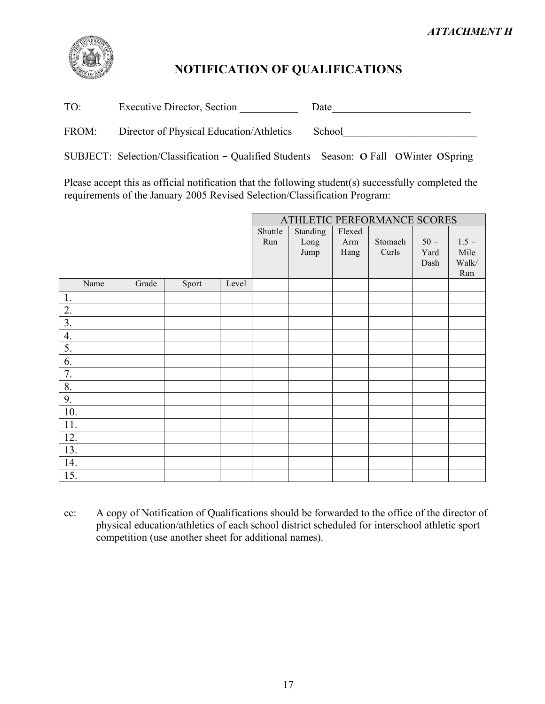

# **NOTIFICATION OF QUALIFICATIONS**

TO: Executive Director, Section \_\_\_\_\_\_\_\_\_\_\_ Date\_\_\_\_\_\_\_\_\_\_\_\_\_\_\_\_\_\_\_\_\_\_\_\_\_\_

FROM: Director of Physical Education/Athletics School\_\_\_\_\_\_\_\_\_\_\_\_\_\_\_\_\_\_\_\_\_\_\_\_\_\_\_

SUBJECT: Selection/Classification - Qualified Students Season: ο Fall οWinter οSpring

Please accept this as official notification that the following student(s) successfully completed the requirements of the January 2005 Revised Selection/Classification Program:

|                  |       |       |       |         |          |        | ATHLETIC PERFORMANCE SCORES |        |         |
|------------------|-------|-------|-------|---------|----------|--------|-----------------------------|--------|---------|
|                  |       |       |       | Shuttle | Standing | Flexed |                             |        |         |
|                  |       |       |       | Run     | Long     | Arm    | Stomach                     | $50 -$ | $1.5 -$ |
|                  |       |       |       |         | Jump     | Hang   | Curls                       | Yard   | Mile    |
|                  |       |       |       |         |          |        |                             | Dash   | Walk/   |
|                  |       |       |       |         |          |        |                             |        | Run     |
| Name             | Grade | Sport | Level |         |          |        |                             |        |         |
| 1.               |       |       |       |         |          |        |                             |        |         |
| $\overline{2}$ . |       |       |       |         |          |        |                             |        |         |
| $\overline{3}$ . |       |       |       |         |          |        |                             |        |         |
| $\overline{4}$ . |       |       |       |         |          |        |                             |        |         |
| 5.               |       |       |       |         |          |        |                             |        |         |
| 6.               |       |       |       |         |          |        |                             |        |         |
| 7.               |       |       |       |         |          |        |                             |        |         |
| 8.               |       |       |       |         |          |        |                             |        |         |
| 9.               |       |       |       |         |          |        |                             |        |         |
| 10.              |       |       |       |         |          |        |                             |        |         |
| 11.              |       |       |       |         |          |        |                             |        |         |
| 12.              |       |       |       |         |          |        |                             |        |         |
| 13.              |       |       |       |         |          |        |                             |        |         |
| 14.              |       |       |       |         |          |        |                             |        |         |
| 15.              |       |       |       |         |          |        |                             |        |         |

cc: A copy of Notification of Qualifications should be forwarded to the office of the director of physical education/athletics of each school district scheduled for interschool athletic sport competition (use another sheet for additional names).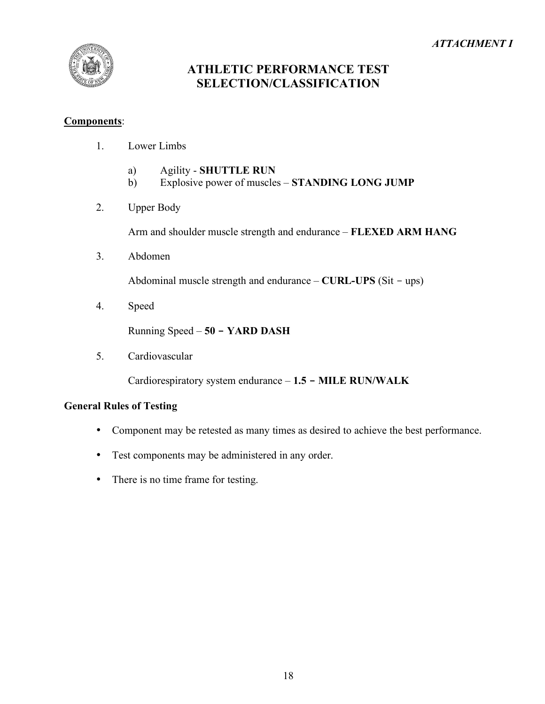## *ATTACHMENT I*



# **ATHLETIC PERFORMANCE TEST SELECTION/CLASSIFICATION**

#### **Components**:

- 1. Lower Limbs
	- a) Agility **SHUTTLE RUN**
	- b) Explosive power of muscles **STANDING LONG JUMP**
- 2. Upper Body

Arm and shoulder muscle strength and endurance – **FLEXED ARM HANG**

3. Abdomen

Abdominal muscle strength and endurance – **CURL-UPS** (Sit - ups)

4. Speed

Running Speed – **50 - YARD DASH**

5. Cardiovascular

Cardiorespiratory system endurance – **1.5 - MILE RUN/WALK**

#### **General Rules of Testing**

- Component may be retested as many times as desired to achieve the best performance.
- Test components may be administered in any order.
- There is no time frame for testing.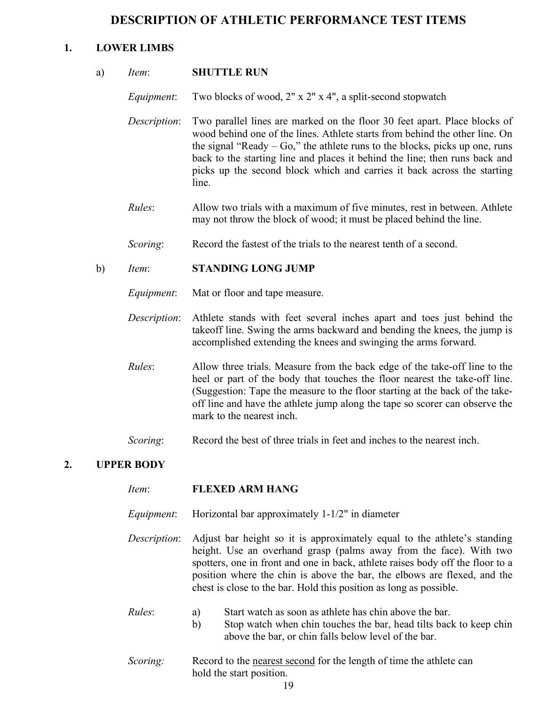# **DESCRIPTION OF ATHLETIC PERFORMANCE TEST ITEMS**

## **1. LOWER LIMBS**

|    | a)           | Item:             | <b>SHUTTLE RUN</b>                                                                                                                                                                                                                                                                                                                                                                                           |
|----|--------------|-------------------|--------------------------------------------------------------------------------------------------------------------------------------------------------------------------------------------------------------------------------------------------------------------------------------------------------------------------------------------------------------------------------------------------------------|
|    |              | Equipment:        | Two blocks of wood, 2" x 2" x 4", a split-second stopwatch                                                                                                                                                                                                                                                                                                                                                   |
|    |              | Description:      | Two parallel lines are marked on the floor 30 feet apart. Place blocks of<br>wood behind one of the lines. Athlete starts from behind the other line. On<br>the signal "Ready $-$ Go," the athlete runs to the blocks, picks up one, runs<br>back to the starting line and places it behind the line; then runs back and<br>picks up the second block which and carries it back across the starting<br>line. |
|    |              | Rules:            | Allow two trials with a maximum of five minutes, rest in between. Athlete<br>may not throw the block of wood; it must be placed behind the line.                                                                                                                                                                                                                                                             |
|    |              | Scoring:          | Record the fastest of the trials to the nearest tenth of a second.                                                                                                                                                                                                                                                                                                                                           |
|    | $\mathbf{b}$ | Item:             | <b>STANDING LONG JUMP</b>                                                                                                                                                                                                                                                                                                                                                                                    |
|    |              | Equipment:        | Mat or floor and tape measure.                                                                                                                                                                                                                                                                                                                                                                               |
|    |              | Description:      | Athlete stands with feet several inches apart and toes just behind the<br>takeoff line. Swing the arms backward and bending the knees, the jump is<br>accomplished extending the knees and swinging the arms forward.                                                                                                                                                                                        |
|    |              | Rules:            | Allow three trials. Measure from the back edge of the take-off line to the<br>heel or part of the body that touches the floor nearest the take-off line.<br>(Suggestion: Tape the measure to the floor starting at the back of the take-<br>off line and have the athlete jump along the tape so scorer can observe the<br>mark to the nearest inch.                                                         |
|    |              | Scoring:          | Record the best of three trials in feet and inches to the nearest inch.                                                                                                                                                                                                                                                                                                                                      |
| 2. |              | <b>UPPER BODY</b> |                                                                                                                                                                                                                                                                                                                                                                                                              |
|    |              | Item:             | <b>FLEXED ARM HANG</b>                                                                                                                                                                                                                                                                                                                                                                                       |
|    |              | Equipment:        | Horizontal bar approximately 1-1/2" in diameter                                                                                                                                                                                                                                                                                                                                                              |
|    |              | Description:      | Adjust bar height so it is approximately equal to the athlete's standing<br>height. Use an overhand grasp (palms away from the face). With two<br>spotters, one in front and one in back, athlete raises body off the floor to a<br>position where the chin is above the bar, the elbows are flexed, and the<br>chest is close to the bar. Hold this position as long as possible.                           |
|    |              | Rules:            | Start watch as soon as athlete has chin above the bar.<br>a)<br>Stop watch when chin touches the bar, head tilts back to keep chin<br>b)<br>above the bar, or chin falls below level of the bar.                                                                                                                                                                                                             |
|    |              |                   |                                                                                                                                                                                                                                                                                                                                                                                                              |

*Scoring:* Record to the nearest second for the length of time the athlete can hold the start position.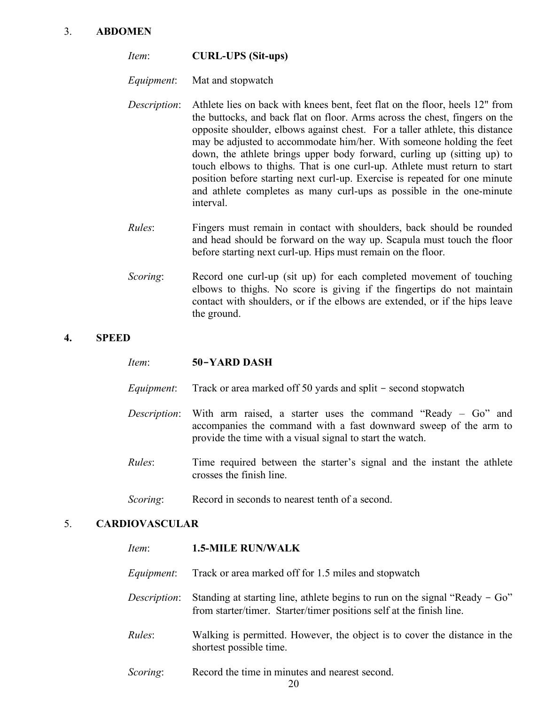#### 3. **ABDOMEN**

| Item: | <b>CURL-UPS</b> (Sit-ups) |  |
|-------|---------------------------|--|
|-------|---------------------------|--|

*Equipment*: Mat and stopwatch

- *Description*: Athlete lies on back with knees bent, feet flat on the floor, heels 12" from the buttocks, and back flat on floor. Arms across the chest, fingers on the opposite shoulder, elbows against chest. For a taller athlete, this distance may be adjusted to accommodate him/her. With someone holding the feet down, the athlete brings upper body forward, curling up (sitting up) to touch elbows to thighs. That is one curl-up. Athlete must return to start position before starting next curl-up. Exercise is repeated for one minute and athlete completes as many curl-ups as possible in the one-minute interval.
- *Rules*: Fingers must remain in contact with shoulders, back should be rounded and head should be forward on the way up. Scapula must touch the floor before starting next curl-up. Hips must remain on the floor.
- *Scoring*: Record one curl-up (sit up) for each completed movement of touching elbows to thighs. No score is giving if the fingertips do not maintain contact with shoulders, or if the elbows are extended, or if the hips leave the ground.

#### **4. SPEED**

- *Item*: **50-YARD DASH**
- *Equipment*: Track or area marked off 50 yards and split second stopwatch
- *Description*: With arm raised, a starter uses the command "Ready Go" and accompanies the command with a fast downward sweep of the arm to provide the time with a visual signal to start the watch.
- *Rules*: Time required between the starter's signal and the instant the athlete crosses the finish line.
- *Scoring*: Record in seconds to nearest tenth of a second.

#### 5. **CARDIOVASCULAR**

- *Item*: **1.5-MILE RUN/WALK** *Equipment*: Track or area marked off for 1.5 miles and stopwatch *Description*: Standing at starting line, athlete begins to run on the signal "Ready – Go" from starter/timer. Starter/timer positions self at the finish line. *Rules*: Walking is permitted. However, the object is to cover the distance in the shortest possible time.
- *Scoring*: Record the time in minutes and nearest second.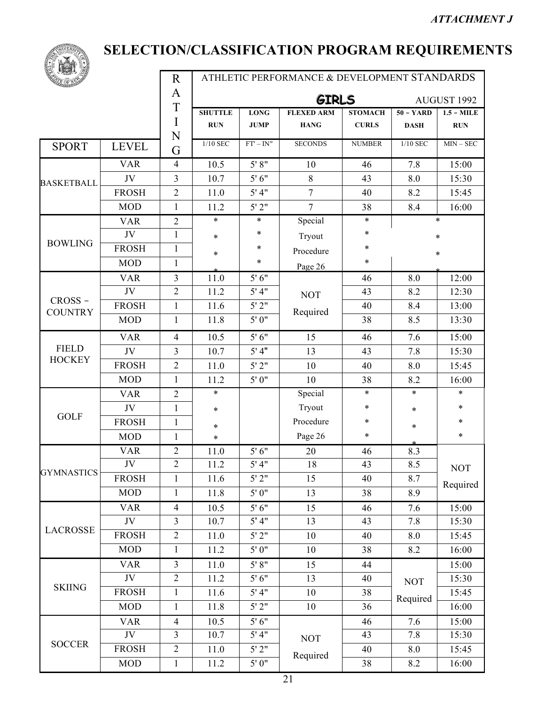

Ē

# **SELECTION/CLASSIFICATION PROGRAM REQUIREMENTS**

| A<br><b>GIRLS</b><br>T<br><b>SHUTTLE</b><br><b>FLEXED ARM</b><br><b>LONG</b><br><b>STOMACH</b><br>I<br><b>RUN</b><br><b>JUMP</b><br><b>CURLS</b><br><b>HANG</b><br>N<br>$1/10$ SEC<br>$FT' - IN''$<br><b>SECONDS</b><br><b>NUMBER</b><br><b>SPORT</b><br><b>LEVEL</b><br>G<br>5' 8''<br><b>VAR</b><br>$\overline{4}$<br>10.5<br>46<br>10<br>$\overline{3}$<br>JV<br>5'6''<br>10.7<br>$8\,$<br>43<br><b>BASKETBALL</b><br>5' 4''<br>7<br><b>FROSH</b><br>$\overline{2}$<br>11.0<br>40 | $50 - YARD$<br><b>DASH</b><br>1/10 SEC<br>7.8<br>8.0<br>8.2<br>8.4 | AUGUST 1992<br>$1.5 - MILE$<br><b>RUN</b><br>$MIN - SEC$<br>15:00<br>15:30 |  |
|--------------------------------------------------------------------------------------------------------------------------------------------------------------------------------------------------------------------------------------------------------------------------------------------------------------------------------------------------------------------------------------------------------------------------------------------------------------------------------------|--------------------------------------------------------------------|----------------------------------------------------------------------------|--|
|                                                                                                                                                                                                                                                                                                                                                                                                                                                                                      |                                                                    |                                                                            |  |
|                                                                                                                                                                                                                                                                                                                                                                                                                                                                                      |                                                                    |                                                                            |  |
|                                                                                                                                                                                                                                                                                                                                                                                                                                                                                      |                                                                    |                                                                            |  |
|                                                                                                                                                                                                                                                                                                                                                                                                                                                                                      |                                                                    |                                                                            |  |
|                                                                                                                                                                                                                                                                                                                                                                                                                                                                                      |                                                                    |                                                                            |  |
|                                                                                                                                                                                                                                                                                                                                                                                                                                                                                      |                                                                    |                                                                            |  |
|                                                                                                                                                                                                                                                                                                                                                                                                                                                                                      |                                                                    | 15:45                                                                      |  |
| 5'2''<br>$\overline{7}$<br><b>MOD</b><br>$\mathbf{1}$<br>11.2<br>38                                                                                                                                                                                                                                                                                                                                                                                                                  |                                                                    | 16:00                                                                      |  |
| Special<br><b>VAR</b><br>$\overline{2}$<br>$\ast$<br>$\ast$<br>$\ast$                                                                                                                                                                                                                                                                                                                                                                                                                | $\ast$                                                             |                                                                            |  |
| *<br>JV<br>$\ast$<br>$\mathbf{1}$<br>Tryout<br>$\ast$                                                                                                                                                                                                                                                                                                                                                                                                                                | $\ast$                                                             |                                                                            |  |
| <b>BOWLING</b><br><b>FROSH</b><br>$\mathbf{1}$<br>$\ast$<br>$\ast$<br>Procedure<br>*                                                                                                                                                                                                                                                                                                                                                                                                 | *                                                                  |                                                                            |  |
| $\ast$<br><b>MOD</b><br>$\ast$<br>$\mathbf{1}$<br>Page 26                                                                                                                                                                                                                                                                                                                                                                                                                            |                                                                    |                                                                            |  |
| $\overline{3}$<br>11.0<br>5'6''<br><b>VAR</b><br>46                                                                                                                                                                                                                                                                                                                                                                                                                                  | 8.0                                                                | 12:00                                                                      |  |
| $\overline{2}$<br>5'4"<br>JV<br>11.2<br>43<br><b>NOT</b>                                                                                                                                                                                                                                                                                                                                                                                                                             | 8.2                                                                | 12:30                                                                      |  |
| CROSS-<br><b>FROSH</b><br>5'2"<br>11.6<br>$\mathbf{1}$<br>40<br>Required<br><b>COUNTRY</b>                                                                                                                                                                                                                                                                                                                                                                                           | 8.4                                                                | 13:00                                                                      |  |
| <b>MOD</b><br>5'0''<br>1<br>11.8<br>38                                                                                                                                                                                                                                                                                                                                                                                                                                               | 8.5                                                                | 13:30                                                                      |  |
| 5'6''<br>15<br><b>VAR</b><br>$\overline{4}$<br>10.5<br>46                                                                                                                                                                                                                                                                                                                                                                                                                            | 7.6                                                                | 15:00                                                                      |  |
| <b>FIELD</b><br>$\overline{3}$<br>5' 4''<br>13<br>JV<br>10.7<br>43                                                                                                                                                                                                                                                                                                                                                                                                                   | 7.8                                                                | 15:30                                                                      |  |
| <b>HOCKEY</b><br><b>FROSH</b><br>$\overline{2}$<br>5'2"<br>11.0<br>10<br>40                                                                                                                                                                                                                                                                                                                                                                                                          | 8.0                                                                | 15:45                                                                      |  |
| <b>MOD</b><br>5'0''<br>10<br>$\mathbf{1}$<br>11.2<br>38                                                                                                                                                                                                                                                                                                                                                                                                                              | 8.2                                                                | 16:00                                                                      |  |
| Special<br>$\ast$<br>$\overline{2}$<br>$\ast$<br><b>VAR</b>                                                                                                                                                                                                                                                                                                                                                                                                                          | $\ast$                                                             | $\ast$                                                                     |  |
| Tryout<br>$\ast$<br>JV<br>$\mathbf{1}$<br>$\ast$                                                                                                                                                                                                                                                                                                                                                                                                                                     | ∗                                                                  | $\ast$                                                                     |  |
| <b>GOLF</b><br>Procedure<br><b>FROSH</b><br>$\ast$<br>$\mathbf{1}$<br>$\ast$                                                                                                                                                                                                                                                                                                                                                                                                         | ∗                                                                  | ∗                                                                          |  |
| Page 26<br>$\ast$<br><b>MOD</b><br>$\mathbf{1}$<br>*                                                                                                                                                                                                                                                                                                                                                                                                                                 |                                                                    | $\ast$                                                                     |  |
| $\overline{2}$<br>5'6''<br>11.0<br>20<br><b>VAR</b><br>46                                                                                                                                                                                                                                                                                                                                                                                                                            | 8.3                                                                |                                                                            |  |
| $\overline{2}$<br>5'4"<br>JV<br>18<br>11.2<br>43<br><b>GYMNASTICS</b>                                                                                                                                                                                                                                                                                                                                                                                                                | 8.5                                                                | <b>NOT</b>                                                                 |  |
| 5'2"<br><b>FROSH</b><br>$\mathbf{1}$<br>15<br>11.6<br>40                                                                                                                                                                                                                                                                                                                                                                                                                             | 8.7                                                                | Required                                                                   |  |
| <b>MOD</b><br>$\mathbf{1}$<br>5'0''<br>11.8<br>13<br>38                                                                                                                                                                                                                                                                                                                                                                                                                              | 8.9                                                                |                                                                            |  |
| 5'6''<br>15<br><b>VAR</b><br>$\overline{4}$<br>10.5<br>46                                                                                                                                                                                                                                                                                                                                                                                                                            | 7.6                                                                | 15:00                                                                      |  |
| $\overline{3}$<br>5' 4''<br>JV<br>10.7<br>13<br>43                                                                                                                                                                                                                                                                                                                                                                                                                                   | 7.8                                                                | 15:30                                                                      |  |
| <b>LACROSSE</b><br><b>FROSH</b><br>$\overline{2}$<br>5'2"<br>11.0<br>10<br>40                                                                                                                                                                                                                                                                                                                                                                                                        | 8.0                                                                | 15:45                                                                      |  |
| <b>MOD</b><br>5'0''<br>$\mathbf{1}$<br>11.2<br>10<br>38                                                                                                                                                                                                                                                                                                                                                                                                                              | 8.2                                                                | 16:00                                                                      |  |
| 5' 8''<br><b>VAR</b><br>$\overline{3}$<br>11.0<br>15<br>44                                                                                                                                                                                                                                                                                                                                                                                                                           |                                                                    | 15:00                                                                      |  |
| $\overline{2}$<br>JV<br>5'6''<br>11.2<br>13<br>40                                                                                                                                                                                                                                                                                                                                                                                                                                    | <b>NOT</b>                                                         | 15:30                                                                      |  |
| <b>SKIING</b><br><b>FROSH</b><br>5' 4''<br>$\mathbf{1}$<br>11.6<br>10<br>38                                                                                                                                                                                                                                                                                                                                                                                                          | Required                                                           | 15:45                                                                      |  |
| 5'2"<br><b>MOD</b><br>$\mathbf{1}$<br>11.8<br>10<br>36                                                                                                                                                                                                                                                                                                                                                                                                                               |                                                                    | 16:00                                                                      |  |
| 10.5<br>5'6''<br><b>VAR</b><br>$\overline{4}$<br>46                                                                                                                                                                                                                                                                                                                                                                                                                                  | 7.6                                                                | 15:00                                                                      |  |
| JV<br>3<br>5' 4''<br>10.7<br>43<br><b>NOT</b>                                                                                                                                                                                                                                                                                                                                                                                                                                        | 7.8                                                                | 15:30                                                                      |  |
| <b>SOCCER</b><br>$\overline{2}$<br>5'2"<br><b>FROSH</b><br>11.0<br>40<br>Required                                                                                                                                                                                                                                                                                                                                                                                                    | 8.0                                                                | 15:45                                                                      |  |
| <b>MOD</b><br>5'0''<br>$\mathbf{1}$<br>11.2<br>38                                                                                                                                                                                                                                                                                                                                                                                                                                    | 8.2                                                                | 16:00                                                                      |  |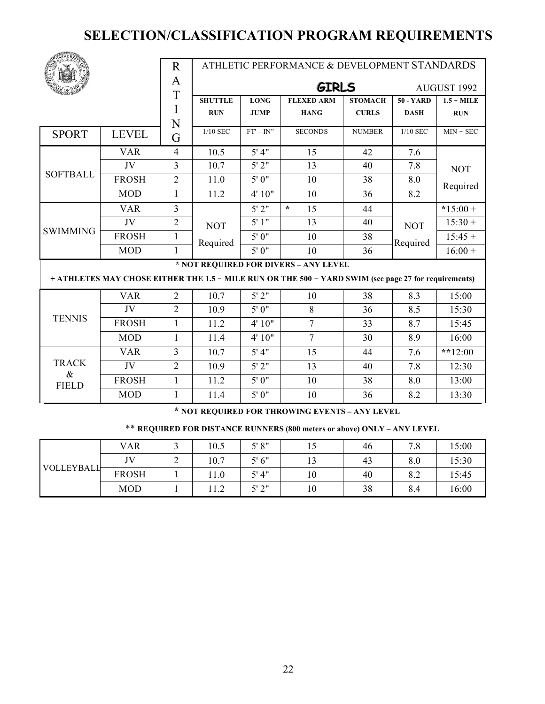|                      |              | $\mathbf R$    |                |              | ATHLETIC PERFORMANCE & DEVELOPMENT STANDARDS                                                         |                |             |              |
|----------------------|--------------|----------------|----------------|--------------|------------------------------------------------------------------------------------------------------|----------------|-------------|--------------|
|                      |              | A              |                |              | <b>GIRLS</b>                                                                                         |                |             | AUGUST 1992  |
|                      |              | T              | <b>SHUTTLE</b> | <b>LONG</b>  | <b>FLEXED ARM</b>                                                                                    | <b>STOMACH</b> | $50 - YARD$ | $1.5 - MILE$ |
|                      |              | I              | <b>RUN</b>     | <b>JUMP</b>  | <b>HANG</b>                                                                                          | <b>CURLS</b>   | <b>DASH</b> | <b>RUN</b>   |
|                      |              | N              | $1/10$ SEC     | $FT' - IN''$ | <b>SECONDS</b>                                                                                       | <b>NUMBER</b>  | $1/10$ SEC  | $MIN - SEC$  |
| <b>SPORT</b>         | <b>LEVEL</b> | G              |                |              |                                                                                                      |                |             |              |
|                      | <b>VAR</b>   | $\overline{4}$ | 10.5           | 5' 4''       | 15                                                                                                   | 42             | 7.6         |              |
|                      | JV           | $\overline{3}$ | 10.7           | 5'2"         | 13                                                                                                   | 40             | 7.8         | <b>NOT</b>   |
| <b>SOFTBALL</b>      | <b>FROSH</b> | $\overline{2}$ | 11.0           | 5'0''        | 10                                                                                                   | 38             | 8.0         | Required     |
|                      | <b>MOD</b>   | $\mathbf{1}$   | 11.2           | 4' 10"       | 10                                                                                                   | 36             | 8.2         |              |
|                      | <b>VAR</b>   | $\overline{3}$ |                | 5'2"         | $\star$<br>15                                                                                        | 44             |             | $*15:00+$    |
| <b>SWIMMING</b>      | JV           | $\overline{2}$ | <b>NOT</b>     | 5'1"         | 13                                                                                                   | 40             | <b>NOT</b>  | $15:30 +$    |
|                      | <b>FROSH</b> | $\mathbf{1}$   | Required       | 5'0''        | 10                                                                                                   | 38             | Required    | $15:45+$     |
|                      | <b>MOD</b>   | 1              |                | 5'0''        | 10                                                                                                   | 36             |             | $16:00 +$    |
|                      |              |                |                |              | * NOT REQUIRED FOR DIVERS - ANY LEVEL                                                                |                |             |              |
|                      |              |                |                |              | + ATHLETES MAY CHOSE EITHER THE 1.5 - MILE RUN OR THE 500 - YARD SWIM (see page 27 for requirements) |                |             |              |
|                      | <b>VAR</b>   | $\overline{2}$ | 10.7           | 5'2"         | 10                                                                                                   | 38             | 8.3         | 15:00        |
|                      | JV           | $\overline{2}$ | 10.9           | 5'0''        | 8                                                                                                    | 36             | 8.5         | 15:30        |
| <b>TENNIS</b>        | <b>FROSH</b> | $\mathbf{1}$   | 11.2           | 4' 10"       | $\overline{7}$                                                                                       | 33             | 8.7         | 15:45        |
|                      | <b>MOD</b>   | $\mathbf{1}$   | 11.4           | 4' 10"       | $\overline{7}$                                                                                       | 30             | 8.9         | 16:00        |
|                      | <b>VAR</b>   | $\overline{3}$ | 10.7           | 5' 4''       | 15                                                                                                   | 44             | 7.6         | **12:00      |
| <b>TRACK</b>         | JV           | $\overline{2}$ | 10.9           | 5'2"         | 13                                                                                                   | 40             | 7.8         | 12:30        |
| $\&$<br><b>FIELD</b> | <b>FROSH</b> | $\mathbf{1}$   | 11.2           | 5'0''        | 10                                                                                                   | 38             | 8.0         | 13:00        |
|                      | <b>MOD</b>   | 1              | 11.4           | 5'0''        | 10                                                                                                   | 36             | 8.2         | 13:30        |

**\* NOT REQUIRED FOR THROWING EVENTS – ANY LEVEL**

\*\* **REQUIRED FOR DISTANCE RUNNERS (800 meters or above) ONLY – ANY LEVEL**

|                   | <b>VAR</b>   |   | 10.5 | 5' 8''     |        | 46 | 70<br>$\cdot^{\circ}$ | 15:00 |
|-------------------|--------------|---|------|------------|--------|----|-----------------------|-------|
| <b>VOLLEYBALL</b> | <b>IV</b>    | ∸ | 10.7 | 5'6''      | $\sim$ | 43 | 8.0                   | 15:30 |
|                   | <b>FROSH</b> |   | 11.0 | 5' 4''     | 10     | 40 | 8.2                   | 15:45 |
|                   | <b>MOD</b>   |   | 11.2 | 51.21<br>∼ | $10\,$ | 38 | 8.4                   | 16:00 |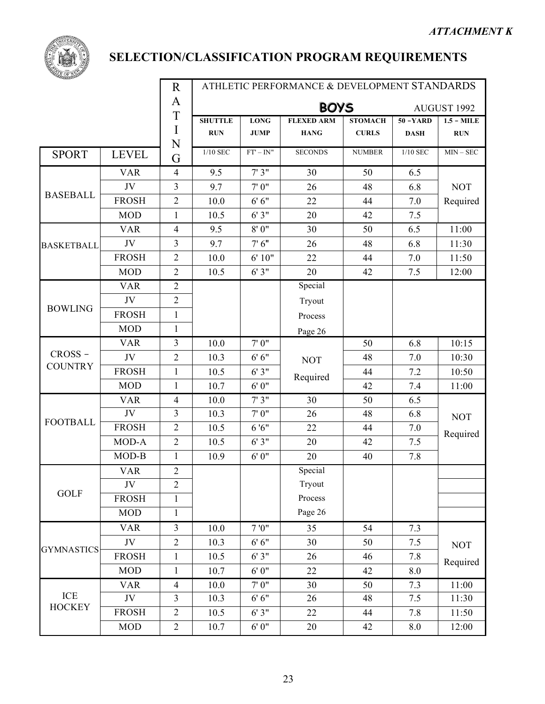

|                   |                    | $\rm R$        |                | ATHLETIC PERFORMANCE & DEVELOPMENT STANDARDS |                   |                |             |              |  |  |  |
|-------------------|--------------------|----------------|----------------|----------------------------------------------|-------------------|----------------|-------------|--------------|--|--|--|
|                   |                    | A              |                |                                              | <b>BOYS</b>       |                |             | AUGUST 1992  |  |  |  |
|                   |                    | T              | <b>SHUTTLE</b> | <b>LONG</b>                                  | <b>FLEXED ARM</b> | <b>STOMACH</b> | $50 - YARD$ | $1.5 - MILE$ |  |  |  |
|                   |                    | I<br>N         | <b>RUN</b>     | <b>JUMP</b>                                  | <b>HANG</b>       | <b>CURLS</b>   | <b>DASH</b> | <b>RUN</b>   |  |  |  |
| <b>SPORT</b>      | <b>LEVEL</b>       | G              | 1/10 SEC       | $FT' - IN''$                                 | <b>SECONDS</b>    | <b>NUMBER</b>  | 1/10 SEC    | $MIN - SEC$  |  |  |  |
|                   | <b>VAR</b>         | $\overline{4}$ | 9.5            | 7'3''                                        | 30                | 50             | 6.5         |              |  |  |  |
|                   | JV                 | 3              | 9.7            | 7'0''                                        | 26                | 48             | 6.8         | <b>NOT</b>   |  |  |  |
| <b>BASEBALL</b>   | <b>FROSH</b>       | $\overline{2}$ | 10.0           | 6'6''                                        | 22                | 44             | 7.0         | Required     |  |  |  |
|                   | <b>MOD</b>         | 1              | 10.5           | 6'3''                                        | 20                | 42             | 7.5         |              |  |  |  |
|                   | <b>VAR</b>         | $\overline{4}$ | 9.5            | 8'0''                                        | 30                | 50             | 6.5         | 11:00        |  |  |  |
| <b>BASKETBALL</b> | JV                 | 3              | 9.7            | 7'6''                                        | 26                | 48             | 6.8         | 11:30        |  |  |  |
|                   | <b>FROSH</b>       | 2              | 10.0           | 6' 10"                                       | 22                | 44             | 7.0         | 11:50        |  |  |  |
|                   | <b>MOD</b>         | $\overline{2}$ | 10.5           | 6'3''                                        | 20                | 42             | 7.5         | 12:00        |  |  |  |
|                   | <b>VAR</b>         | $\overline{2}$ |                |                                              | Special           |                |             |              |  |  |  |
|                   | JV                 | $\overline{2}$ |                |                                              | Tryout            |                |             |              |  |  |  |
| <b>BOWLING</b>    | <b>FROSH</b>       | $\mathbf{1}$   |                |                                              | Process           |                |             |              |  |  |  |
|                   | <b>MOD</b>         | $\mathbf{1}$   |                |                                              | Page 26           |                |             |              |  |  |  |
|                   | <b>VAR</b>         | 3              | 10.0           | 7'0''                                        |                   | 50             | 6.8         | 10:15        |  |  |  |
| CROSS-            | JV                 | $\sqrt{2}$     | 10.3           | 6'6''                                        | <b>NOT</b>        | 48             | 7.0         | 10:30        |  |  |  |
| <b>COUNTRY</b>    | <b>FROSH</b>       | $\mathbf{1}$   | 10.5           | 6'3''                                        | Required          | 44             | 7.2         | 10:50        |  |  |  |
|                   | <b>MOD</b>         | $\mathbf{1}$   | 10.7           | 6'0''                                        |                   | 42             | 7.4         | 11:00        |  |  |  |
|                   | <b>VAR</b>         | $\overline{4}$ | 10.0           | 7'3''                                        | 30                | 50             | 6.5         |              |  |  |  |
|                   | JV                 | 3              | 10.3           | 7'0''                                        | 26                | 48             | 6.8         | <b>NOT</b>   |  |  |  |
| <b>FOOTBALL</b>   | <b>FROSH</b>       | $\overline{2}$ | 10.5           | 6'6''                                        | 22                | 44             | 7.0         | Required     |  |  |  |
|                   | $\overline{MOD-A}$ | $\overline{2}$ | 10.5           | 6'3''                                        | 20                | 42             | 7.5         |              |  |  |  |
|                   | MOD-B              | 1              | 10.9           | 6'0''                                        | 20                | 40             | 7.8         |              |  |  |  |
|                   | <b>VAR</b>         | $\sqrt{2}$     |                |                                              | Special           |                |             |              |  |  |  |
|                   | JV                 | $\overline{2}$ |                |                                              | Tryout            |                |             |              |  |  |  |
| <b>GOLF</b>       | <b>FROSH</b>       | 1              |                |                                              | Process           |                |             |              |  |  |  |
|                   | <b>MOD</b>         | $\mathbf{1}$   |                |                                              | Page 26           |                |             |              |  |  |  |
|                   | <b>VAR</b>         | 3              | 10.0           | 7'0''                                        | 35                | 54             | 7.3         |              |  |  |  |
|                   | JV                 | $\overline{2}$ | 10.3           | 6'6''                                        | 30                | 50             | $7.5$       | <b>NOT</b>   |  |  |  |
| <b>GYMNASTICS</b> | <b>FROSH</b>       | $\mathbf{1}$   | 10.5           | 6'3''                                        | 26                | 46             | 7.8         | Required     |  |  |  |
|                   | <b>MOD</b>         | $\mathbf{1}$   | 10.7           | 6'0''                                        | 22                | 42             | 8.0         |              |  |  |  |
|                   | <b>VAR</b>         | $\overline{4}$ | 10.0           | 7'0''                                        | 30                | 50             | 7.3         | 11:00        |  |  |  |
| ICE               | JV                 | $\overline{3}$ | 10.3           | 6'6''                                        | 26                | 48             | 7.5         | 11:30        |  |  |  |
| <b>HOCKEY</b>     | <b>FROSH</b>       | $\overline{2}$ | 10.5           | 6'3''                                        | 22                | 44             | 7.8         | 11:50        |  |  |  |
|                   | MOD                | $\overline{2}$ | 10.7           | 6'0''                                        | 20                | 42             | 8.0         | 12:00        |  |  |  |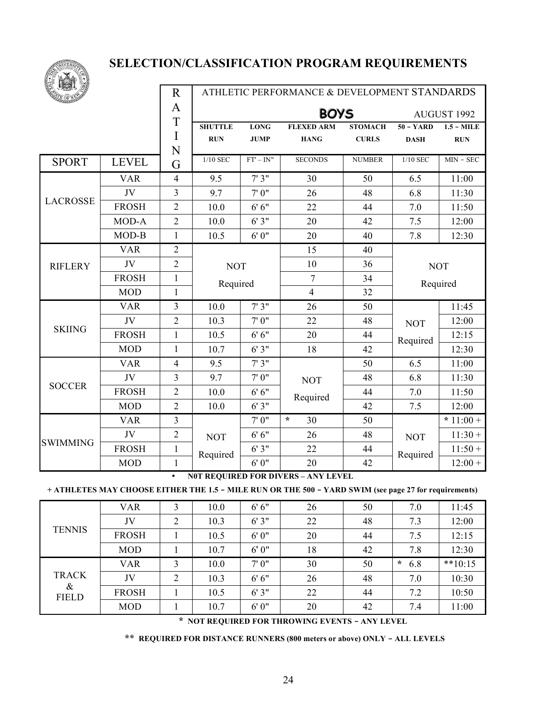

|                 |                            | $\mathbf R$    |                |              | ATHLETIC PERFORMANCE & DEVELOPMENT STANDARDS |                |             |              |
|-----------------|----------------------------|----------------|----------------|--------------|----------------------------------------------|----------------|-------------|--------------|
|                 |                            | A              |                |              | <b>BOYS</b>                                  |                |             | AUGUST 1992  |
|                 |                            | T              | <b>SHUTTLE</b> | <b>LONG</b>  | <b>FLEXED ARM</b>                            | <b>STOMACH</b> | $50 - YARD$ | $1.5 - MILE$ |
|                 |                            | I<br>N         | <b>RUN</b>     | <b>JUMP</b>  | <b>HANG</b>                                  | <b>CURLS</b>   | <b>DASH</b> | <b>RUN</b>   |
| <b>SPORT</b>    | <b>LEVEL</b>               | G              | 1/10 SEC       | $FT' - IN''$ | <b>SECONDS</b>                               | <b>NUMBER</b>  | $1/10$ SEC  | $MIN - SEC$  |
|                 | <b>VAR</b>                 | $\overline{4}$ | 9.5            | 7'3''        | 30                                           | 50             | 6.5         | 11:00        |
|                 | JV                         | $\overline{3}$ | 9.7            | 7'0''        | 26                                           | 48             | 6.8         | 11:30        |
| <b>LACROSSE</b> | <b>FROSH</b>               | $\overline{2}$ | 10.0           | 6'6''        | 22                                           | 44             | 7.0         | 11:50        |
|                 | MOD-A                      | $\overline{2}$ | 10.0           | 6'3''        | 20                                           | 42             | 7.5         | 12:00        |
|                 | MOD-B                      | $\mathbf{1}$   | 10.5           | 6'0''        | 20                                           | 40             | 7.8         | 12:30        |
|                 | <b>VAR</b>                 | $\overline{2}$ |                |              | 15                                           | 40             |             |              |
| <b>RIFLERY</b>  | JV                         | $\overline{2}$ | <b>NOT</b>     |              | 10                                           | 36             |             | <b>NOT</b>   |
|                 | <b>FROSH</b>               | $\mathbf{1}$   | Required       |              | 7                                            | 34             |             | Required     |
|                 | <b>MOD</b><br>$\mathbf{1}$ |                |                |              | $\overline{4}$                               | 32             |             |              |
|                 | <b>VAR</b>                 | 3              | 10.0           | 7'3''        | 26                                           | 50             |             | 11:45        |
| <b>SKIING</b>   | JV                         | $\overline{2}$ | 10.3           | 7'0''        | 22                                           | 48             | <b>NOT</b>  | 12:00        |
|                 | <b>FROSH</b>               | $\mathbf{1}$   | 10.5           | 6'6''        | 20                                           | 44             | Required    | 12:15        |
|                 | <b>MOD</b>                 | $\mathbf{1}$   | 10.7           | 6'3''        | 18                                           | 42             |             | 12:30        |
|                 | <b>VAR</b>                 | $\overline{4}$ | 9.5            | 7'3''        |                                              | 50             | 6.5         | 11:00        |
| <b>SOCCER</b>   | JV                         | $\overline{3}$ | 9.7            | 7'0''        | <b>NOT</b>                                   | 48             | 6.8         | 11:30        |
|                 | <b>FROSH</b>               | $\overline{2}$ | 10.0           | 6'6''        | Required                                     | 44             | 7.0         | 11:50        |
|                 | <b>MOD</b>                 | $\overline{2}$ | 10.0           | 6'3''        |                                              | 42             | 7.5         | 12:00        |
|                 | <b>VAR</b>                 | $\mathfrak{Z}$ |                | 7'0''        | $\star$<br>30                                | 50             |             | * $11:00 +$  |
|                 | JV                         | $\overline{2}$ | <b>NOT</b>     | 6'6''        | 26                                           | 48             | <b>NOT</b>  | $11:30+$     |
| <b>SWIMMING</b> | <b>FROSH</b>               | $\mathbf{1}$   | Required       | 6'3''        | 22                                           | 44             | Required    | $11:50+$     |
|                 | <b>MOD</b>                 | $\mathbf{1}$   |                | 6'0''        | 20                                           | 42             |             | $12:00+$     |

• **N0T REQUIRED FOR DIVERS – ANY LEVEL**

+ ATHLETES MAY CHOOSE EITHER THE 1.5 - MILE RUN OR THE 500 - YARD SWIM (see page 27 for requirements)

|                      | <b>VAR</b>   | 3 | 10.0 | 6'6'' | 26 | 50 | 7.0            | 11:45     |
|----------------------|--------------|---|------|-------|----|----|----------------|-----------|
|                      | JV           | ∍ | 10.3 | 6'3'' | 22 | 48 | 7.3            | 12:00     |
| <b>TENNIS</b>        | <b>FROSH</b> |   | 10.5 | 6'0'' | 20 | 44 | 7.5            | 12:15     |
|                      | <b>MOD</b>   |   | 10.7 | 6'0'' | 18 | 42 | 7.8            | 12:30     |
|                      | <b>VAR</b>   | 3 | 10.0 | 7'0'' | 30 | 50 | $\star$<br>6.8 | $**10:15$ |
| <b>TRACK</b>         | JV           | ↑ | 10.3 | 6'6'' | 26 | 48 | 7.0            | 10:30     |
| $\&$<br><b>FIELD</b> | <b>FROSH</b> |   | 10.5 | 6'3'' | 22 | 44 | 7.2            | 10:50     |
|                      | <b>MOD</b>   |   | 10.7 | 6'0'' | 20 | 42 | 7.4            | 11:00     |

**\* NOT REQUIRED FOR THROWING EVENTS - ANY LEVEL**

**\*\* REQUIRED FOR DISTANCE RUNNERS (800 meters or above) ONLY - ALL LEVELS**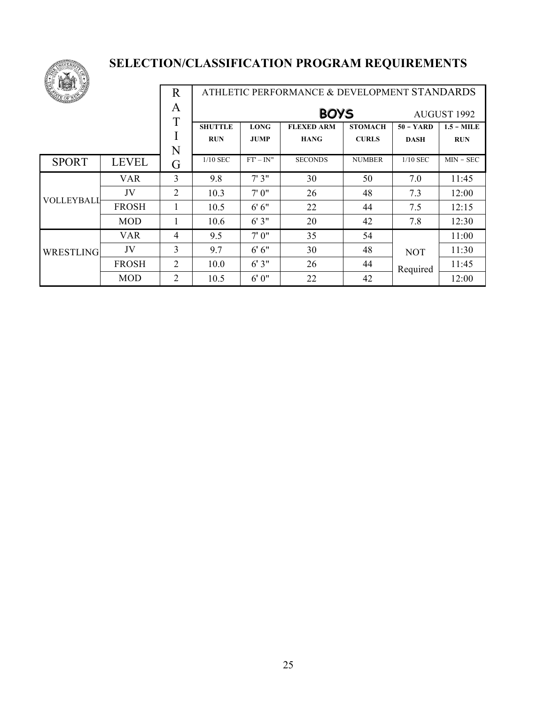

| E<br><b>LEST</b> |              | R              |                |                            | ATHLETIC PERFORMANCE & DEVELOPMENT STANDARDS |                |             |              |  |
|------------------|--------------|----------------|----------------|----------------------------|----------------------------------------------|----------------|-------------|--------------|--|
|                  |              | A<br>T         |                | <b>BOYS</b><br>AUGUST 1992 |                                              |                |             |              |  |
|                  |              |                | <b>SHUTTLE</b> | <b>LONG</b>                | <b>FLEXED ARM</b>                            | <b>STOMACH</b> | $50 - YARD$ | $1.5 - MILE$ |  |
|                  |              |                | <b>RUN</b>     | <b>JUMP</b>                | <b>HANG</b>                                  | <b>CURLS</b>   | <b>DASH</b> | <b>RUN</b>   |  |
|                  |              | N              |                |                            |                                              |                |             |              |  |
| <b>SPORT</b>     | <b>LEVEL</b> | G              | $1/10$ SEC     | $FT' - IN''$               | <b>SECONDS</b>                               | <b>NUMBER</b>  | $1/10$ SEC  | $MIN - SEC$  |  |
|                  | <b>VAR</b>   | 3              | 9.8            | 7'3''                      | 30                                           | 50             | 7.0         | 11:45        |  |
|                  | JV           | 2              | 10.3           | 7'0''                      | 26                                           | 48             | 7.3         | 12:00        |  |
| VOLLEYBALI       | <b>FROSH</b> |                | 10.5           | 6'6''                      | 22                                           | 44             | 7.5         | 12:15        |  |
|                  | <b>MOD</b>   |                | 10.6           | 6'3"                       | 20                                           | 42             | 7.8         | 12:30        |  |
|                  | <b>VAR</b>   | $\overline{4}$ | 9.5            | 7'0''                      | 35                                           | 54             |             | 11:00        |  |
| WRESTLING        | JV           | 3              | 9.7            | 6'6''                      | 30                                           | 48             | <b>NOT</b>  | 11:30        |  |
|                  | <b>FROSH</b> | 2              | 10.0           | 6'3"                       | 26                                           | 44             | Required    | 11:45        |  |
|                  | <b>MOD</b>   | $\overline{2}$ | 10.5           | 6'0''                      | 22                                           | 42             |             | 12:00        |  |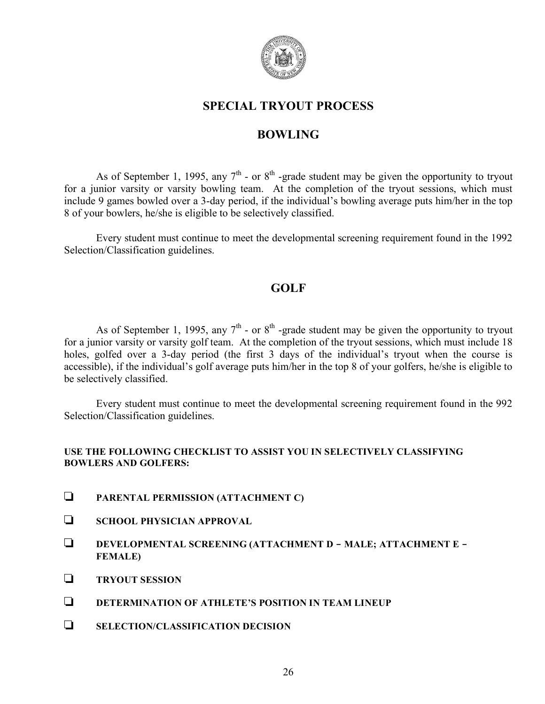

# **SPECIAL TRYOUT PROCESS**

## **BOWLING**

As of September 1, 1995, any  $7<sup>th</sup>$  - or  $8<sup>th</sup>$  -grade student may be given the opportunity to tryout for a junior varsity or varsity bowling team. At the completion of the tryout sessions, which must include 9 games bowled over a 3-day period, if the individual's bowling average puts him/her in the top 8 of your bowlers, he/she is eligible to be selectively classified.

Every student must continue to meet the developmental screening requirement found in the 1992 Selection/Classification guidelines.

## **GOLF**

As of September 1, 1995, any  $7<sup>th</sup>$  - or  $8<sup>th</sup>$  -grade student may be given the opportunity to tryout for a junior varsity or varsity golf team. At the completion of the tryout sessions, which must include 18 holes, golfed over a 3-day period (the first 3 days of the individual's tryout when the course is accessible), if the individual's golf average puts him/her in the top 8 of your golfers, he/she is eligible to be selectively classified.

Every student must continue to meet the developmental screening requirement found in the 992 Selection/Classification guidelines.

#### **USE THE FOLLOWING CHECKLIST TO ASSIST YOU IN SELECTIVELY CLASSIFYING BOWLERS AND GOLFERS:**

- **PARENTAL PERMISSION (ATTACHMENT C)**
- **SCHOOL PHYSICIAN APPROVAL**
- **DEVELOPMENTAL SCREENING (ATTACHMENT D - MALE; ATTACHMENT E - FEMALE)**
- **TRYOUT SESSION**
- **DETERMINATION OF ATHLETE'S POSITION IN TEAM LINEUP**
- **SELECTION/CLASSIFICATION DECISION**